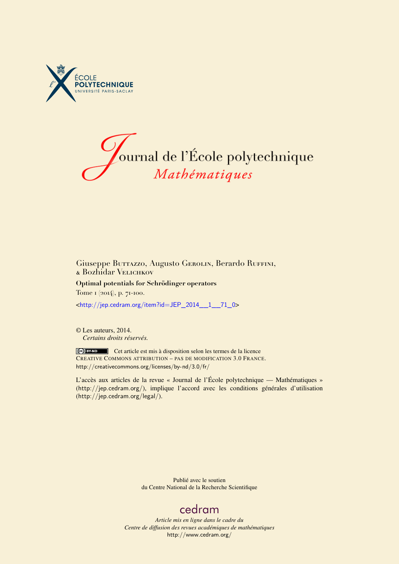



### Giuseppe Burrazzo, Augusto Gerolin, Berardo Ruffini, & Bozhidar Velichkov

**Optimal potentials for Schrödinger operators** Tome 1 (2014), p. 71-100.

<[http://jep.cedram.org/item?id=JEP\\_2014\\_\\_1\\_\\_71\\_0](http://jep.cedram.org/item?id=JEP_2014__1__71_0)>

© Les auteurs, 2014. *Certains droits réservés.*

Cet article est mis à disposition selon les termes de la licence CREATIVE COMMONS ATTRIBUTION – PAS DE MODIFICATION 3.0 FRANCE. <http://creativecommons.org/licenses/by-nd/3.0/fr/>

L'accès aux articles de la revue « Journal de l'École polytechnique — Mathématiques » (<http://jep.cedram.org/>), implique l'accord avec les conditions générales d'utilisation (<http://jep.cedram.org/legal/>).

> Publié avec le soutien du Centre National de la Recherche Scientifique

# [cedram](http://www.cedram.org/)

*Article mis en ligne dans le cadre du Centre de diffusion des revues académiques de mathématiques* <http://www.cedram.org/>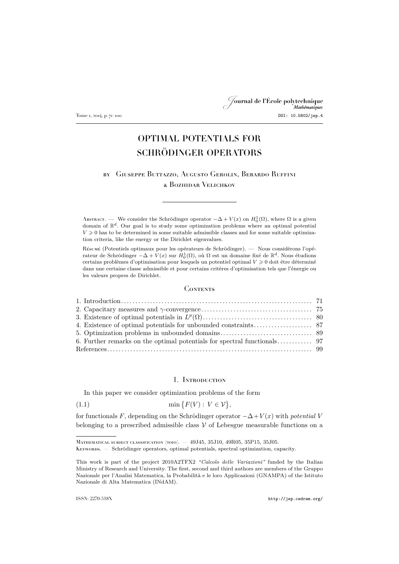# <span id="page-1-0"></span>Journal de l'École polytechnique Tome 1, 2014, p. 71–100 DOI: 10.5802/jep.4

# OPTIMAL POTENTIALS FOR SCHRÖDINGER OPERATORS

## by Giuseppe Buttazzo, Augusto Gerolin, Berardo Ruffini & Bozhidar Velichkov

ABSTRACT. — We consider the Schrödinger operator  $-\Delta + V(x)$  on  $H_0^1(\Omega)$ , where  $\Omega$  is a given domain of  $\mathbb{R}^d$ . Our goal is to study some optimization problems where an optimal potential  $V \geq 0$  has to be determined in some suitable admissible classes and for some suitable optimization criteria, like the energy or the Dirichlet eigenvalues.

Résumé (Potentiels optimaux pour les opérateurs de Schrödinger). — Nous considérons l'opérateur de Schrödinger  $-\Delta + V(x)$  sur  $H_0^1(\Omega)$ , où Ω est un domaine fixé de ℝ<sup>d</sup>. Nous étudions certains problèmes d'optimisation pour lesquels un potentiel optimal  $V \geq 0$  doit être déterminé dans une certaine classe admissible et pour certains critères d'optimisation tels que l'énergie ou les valeurs propres de Dirichlet.

### **CONTENTS**

#### 1. Introduction

In this paper we consider optimization problems of the form

$$
(1.1)\qquad \qquad \min\big\{F(V): V \in \mathcal{V}\big\},\
$$

for functionals F, depending on the Schrödinger operator −∆+V (x) with *potential* V belonging to a prescribed admissible class  $\mathcal V$  of Lebesgue measurable functions on a

Mathematical subject classification (2010). — 49J45, 35J10, 49R05, 35P15, 35J05.

Keywords. — Schrödinger operators, optimal potentials, spectral optimization, capacity.

This work is part of the project 2010A2TFX2 *"Calcolo delle Variazioni"* funded by the Italian Ministry of Research and University. The first, second and third authors are members of the Gruppo Nazionale per l'Analisi Matematica, la Probabilità e le loro Applicazioni (GNAMPA) of the Istituto Nazionale di Alta Matematica (INdAM).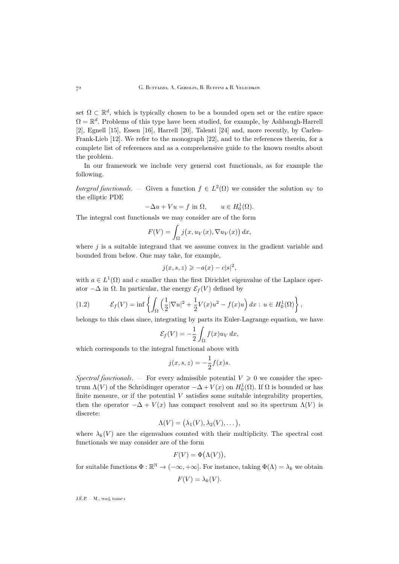<span id="page-2-0"></span>set  $\Omega \subset \mathbb{R}^d$ , which is typically chosen to be a bounded open set or the entire space  $\Omega = \mathbb{R}^d$ . Problems of this type have been studied, for example, by Ashbaugh-Harrell [\[2\]](#page-29-0), Egnell [\[15\]](#page-29-0), Essen [\[16\]](#page-30-0), Harrell [\[20\]](#page-30-0), Talenti [\[24\]](#page-30-0) and, more recently, by Carlen-Frank-Lieb [\[12\]](#page-29-0). We refer to the monograph [\[22\]](#page-30-0), and to the references therein, for a complete list of references and as a comprehensive guide to the known results about the problem.

In our framework we include very general cost functionals, as for example the following.

*Integral functionals.* – Given a function  $f \in L^2(\Omega)$  we consider the solution  $u_V$  to the elliptic PDE

$$
-\Delta u + Vu = f \text{ in } \Omega, \qquad u \in H_0^1(\Omega).
$$

The integral cost functionals we may consider are of the form

$$
F(V) = \int_{\Omega} j(x, u_V(x), \nabla u_V(x)) dx,
$$

where  $j$  is a suitable integrand that we assume convex in the gradient variable and bounded from below. One may take, for example,

$$
j(x, s, z) \geqslant -a(x) - c|s|^2,
$$

with  $a \in L^1(\Omega)$  and c smaller than the first Dirichlet eigenvalue of the Laplace operator  $-\Delta$  in  $\Omega$ . In particular, the energy  $\mathcal{E}_f(V)$  defined by

(1.2) 
$$
\mathcal{E}_f(V) = \inf \left\{ \int_{\Omega} \left( \frac{1}{2} |\nabla u|^2 + \frac{1}{2} V(x) u^2 - f(x) u \right) dx : u \in H_0^1(\Omega) \right\},
$$

belongs to this class since, integrating by parts its Euler-Lagrange equation, we have

$$
\mathcal{E}_f(V) = -\frac{1}{2} \int_{\Omega} f(x) u_V dx,
$$

which corresponds to the integral functional above with

$$
j(x, s, z) = -\frac{1}{2}f(x)s.
$$

*Spectral functionals.* — For every admissible potential  $V \geq 0$  we consider the spectrum  $\Lambda(V)$  of the Schrödinger operator  $-\Delta + V(x)$  on  $H_0^1(\Omega)$ . If  $\Omega$  is bounded or has finite measure, or if the potential  $V$  satisfies some suitable integrability properties, then the operator  $-\Delta + V(x)$  has compact resolvent and so its spectrum  $\Lambda(V)$  is discrete:

$$
\Lambda(V) = (\lambda_1(V), \lambda_2(V), \dots),
$$

where  $\lambda_k(V)$  are the eigenvalues counted with their multiplicity. The spectral cost functionals we may consider are of the form

$$
F(V) = \Phi(\Lambda(V)),
$$

for suitable functions  $\Phi : \mathbb{R}^{\mathbb{N}} \to (-\infty, +\infty]$ . For instance, taking  $\Phi(\Lambda) = \lambda_k$  we obtain

$$
F(V) = \lambda_k(V).
$$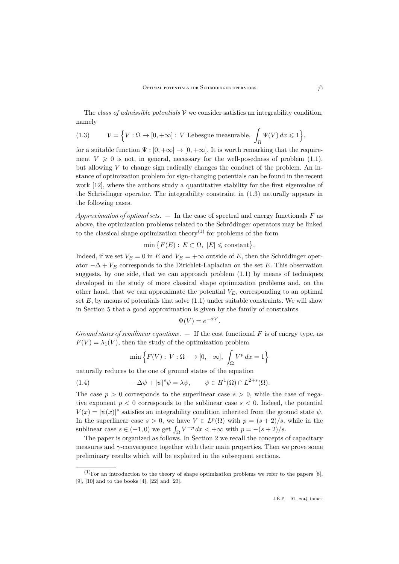<span id="page-3-0"></span>The *class of admissible potentials* V we consider satisfies an integrability condition, namely

(1.3) 
$$
\mathcal{V} = \left\{ V : \Omega \to [0, +\infty] : V \text{ Lebesgue measurable, } \int_{\Omega} \Psi(V) \, dx \leq 1 \right\},
$$

for a suitable function  $\Psi : [0, +\infty] \to [0, +\infty]$ . It is worth remarking that the requirement  $V \geq 0$  is not, in general, necessary for the well-posedness of problem [\(1.1\)](#page-1-0), but allowing  $V$  to change sign radically changes the conduct of the problem. An instance of optimization problem for sign-changing potentials can be found in the recent work [\[12\]](#page-29-0), where the authors study a quantitative stability for the first eigenvalue of the Schrödinger operator. The integrability constraint in (1.3) naturally appears in the following cases.

*Approximation of optimal sets*. — In the case of spectral and energy functionals F as above, the optimization problems related to the Schrödinger operators may be linked to the classical shape optimization theory<sup>(1)</sup> for problems of the form

 $\min \{ F(E) : E \subset \Omega, |E| \leq \text{constant} \}.$ 

Indeed, if we set  $V_E = 0$  in E and  $V_E = +\infty$  outside of E, then the Schrödinger operator  $-\Delta + V_E$  corresponds to the Dirichlet-Laplacian on the set E. This observation suggests, by one side, that we can approach problem  $(1.1)$  by means of techniques developed in the study of more classical shape optimization problems and, on the other hand, that we can approximate the potential  $V_E$ , corresponding to an optimal set  $E$ , by means of potentials that solve  $(1.1)$  under suitable constraints. We will show in Section [5](#page-19-0) that a good approximation is given by the family of constraints

$$
\Psi(V) = e^{-\alpha V}
$$

.

*Ground states of semilinear equations*. — If the cost functional F is of energy type, as  $F(V) = \lambda_1(V)$ , then the study of the optimization problem

$$
\min\left\{F(V): V:\Omega\longrightarrow [0,+\infty], \int_{\Omega} V^p dx = 1\right\}
$$

naturally reduces to the one of ground states of the equation

(1.4) 
$$
-\Delta \psi + |\psi|^s \psi = \lambda \psi, \qquad \psi \in H^1(\Omega) \cap L^{2+s}(\Omega).
$$

The case  $p > 0$  corresponds to the superlinear case  $s > 0$ , while the case of negative exponent  $p < 0$  corresponds to the sublinear case  $s < 0$ . Indeed, the potential  $V(x) = |\psi(x)|^s$  satisfies an integrability condition inherited from the ground state  $\psi$ . In the superlinear case  $s > 0$ , we have  $V \in L^p(\Omega)$  with  $p = (s + 2)/s$ , while in the sublinear case  $s \in (-1,0)$  we get  $\int_{\Omega} V^{-p} dx < +\infty$  with  $p = -(s+2)/s$ .

The paper is organized as follows. In Section [2](#page-5-0) we recall the concepts of capacitary measures and γ-convergence together with their main properties. Then we prove some preliminary results which will be exploited in the subsequent sections.

 $(1)$ For an introduction to the theory of shape optimization problems we refer to the papers [\[8\]](#page-29-0). [\[9\]](#page-29-0), [\[10\]](#page-29-0) and to the books [\[4\]](#page-29-0), [\[22\]](#page-30-0) and [\[23\]](#page-30-0).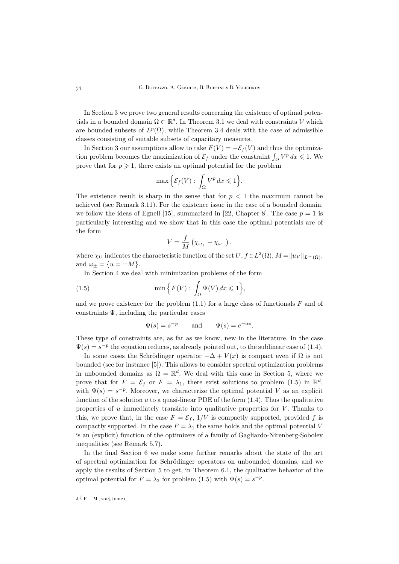In Section [3](#page-10-0) we prove two general results concerning the existence of optimal potentials in a bounded domain  $\Omega \subset \mathbb{R}^d$ . In Theorem [3.1](#page-10-0) we deal with constraints  $\mathcal V$  which are bounded subsets of  $L^p(\Omega)$ , while Theorem [3.4](#page-10-0) deals with the case of admissible classes consisting of suitable subsets of capacitary measures.

In Section [3](#page-10-0) our assumptions allow to take  $F(V) = -\mathcal{E}_f(V)$  and thus the optimization problem becomes the maximization of  $\mathcal{E}_f$  under the constraint  $\int_{\Omega} V^p dx \leq 1$ . We prove that for  $p \geq 1$ , there exists an optimal potential for the problem

$$
\max\Big\{\mathcal{E}_f(V): \int_{\Omega} V^p \, dx \leqslant 1\Big\}.
$$

The existence result is sharp in the sense that for  $p < 1$  the maximum cannot be achieved (see Remark [3.11\)](#page-16-0). For the existence issue in the case of a bounded domain, we follow the ideas of Egnell [\[15\]](#page-29-0), summarized in [\[22,](#page-30-0) Chapter 8]. The case  $p = 1$  is particularly interesting and we show that in this case the optimal potentials are of the form

$$
V=\frac{f}{M}\left(\chi_{\omega_{+}}-\chi_{\omega_{-}}\right),\,
$$

where  $\chi_U$  indicates the characteristic function of the set  $U, f \in L^2(\Omega)$ ,  $M = ||u_V||_{L^\infty(\Omega)}$ , and  $\omega_{\pm} = \{u = \pm M\}.$ 

In Section [4](#page-17-0) we deal with minimization problems of the form

(1.5) 
$$
\min\left\{F(V): \int_{\Omega} \Psi(V) dx \leq 1\right\},\
$$

and we prove existence for the problem  $(1.1)$  for a large class of functionals F and of constraints  $\Psi$ , including the particular cases

$$
\Psi(s) = s^{-p}
$$
 and  $\Psi(s) = e^{-\alpha s}$ .

These type of constraints are, as far as we know, new in the literature. In the case  $\Psi(s) = s^{-p}$  the equation reduces, as already pointed out, to the sublinear case of [\(1.4\)](#page-3-0).

In some cases the Schrödinger operator  $-\Delta + V(x)$  is compact even if  $\Omega$  is not bounded (see for instance [\[5\]](#page-29-0)). This allows to consider spectral optimization problems in unbounded domains as  $\Omega = \mathbb{R}^d$ . We deal with this case in Section [5,](#page-19-0) where we prove that for  $F = \mathcal{E}_f$  or  $F = \lambda_1$ , there exist solutions to problem (1.5) in  $\mathbb{R}^d$ , with  $\Psi(s) = s^{-p}$ . Moreover, we characterize the optimal potential V as an explicit function of the solution u to a quasi-linear PDE of the form  $(1.4)$ . Thus the qualitative properties of  $u$  immediately translate into qualitative properties for  $V$ . Thanks to this, we prove that, in the case  $F = \mathcal{E}_f$ ,  $1/V$  is compactly supported, provided f is compactly supported. In the case  $F = \lambda_1$  the same holds and the optimal potential V is an (explicit) function of the optimizers of a family of Gagliardo-Nirenberg-Sobolev inequalities (see Remark [5.7\)](#page-25-0).

In the final Section [6](#page-27-0) we make some further remarks about the state of the art of spectral optimization for Schrödinger operators on unbounded domains, and we apply the results of Section [5](#page-19-0) to get, in Theorem [6.1,](#page-28-0) the qualitative behavior of the optimal potential for  $F = \lambda_2$  for problem (1.5) with  $\Psi(s) = s^{-p}$ .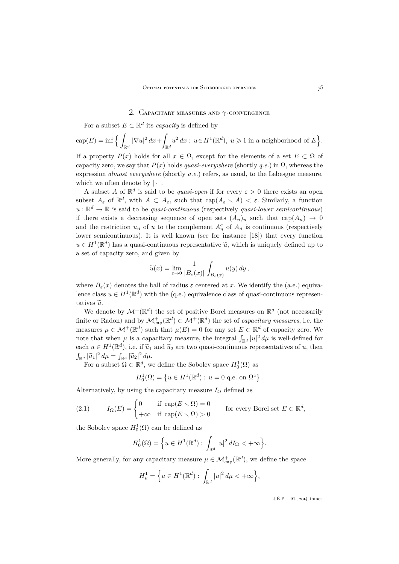#### 2. CAPACITARY MEASURES AND  $\gamma$ -CONVERGENCE

<span id="page-5-0"></span>For a subset  $E \subset \mathbb{R}^d$  its *capacity* is defined by

$$
\operatorname{cap}(E)=\inf\Big\{\int_{\mathbb{R}^d}|\nabla u|^2\,dx+\int_{\mathbb{R}^d}u^2\,dx:\,u\in H^1(\mathbb{R}^d),\;u\geqslant 1\;\text{in a neighborhood of}\;E\Big\}.
$$

If a property  $P(x)$  holds for all  $x \in \Omega$ , except for the elements of a set  $E \subset \Omega$  of capacity zero, we say that  $P(x)$  holds *quasi-everywhere* (shortly *q.e.*) in  $\Omega$ , whereas the expression *almost everywhere* (shortly *a.e.*) refers, as usual, to the Lebesgue measure, which we often denote by  $|\cdot|$ .

A subset A of  $\mathbb{R}^d$  is said to be *quasi-open* if for every  $\varepsilon > 0$  there exists an open subset  $A_\varepsilon$  of  $\mathbb{R}^d$ , with  $A \subset A_\varepsilon$ , such that  $cap(A_\varepsilon \setminus A) < \varepsilon$ . Similarly, a function  $u : \mathbb{R}^d \to \mathbb{R}$  is said to be *quasi-continuous* (respectively *quasi-lower semicontinuous*) if there exists a decreasing sequence of open sets  $(A_n)_n$  such that  $cap(A_n) \rightarrow 0$ and the restriction  $u_n$  of u to the complement  $A_n^c$  of  $A_n$  is continuous (respectively lower semicontinuous). It is well known (see for instance [\[18\]](#page-30-0)) that every function  $u \in H^1(\mathbb{R}^d)$  has a quasi-continuous representative  $\tilde{u}$ , which is uniquely defined up to a set of capacity zero, and given by

$$
\widetilde{u}(x) = \lim_{\varepsilon \to 0} \frac{1}{|B_{\varepsilon}(x)|} \int_{B_{\varepsilon}(x)} u(y) dy,
$$

where  $B_{\varepsilon}(x)$  denotes the ball of radius  $\varepsilon$  centered at x. We identify the (a.e.) equivalence class  $u \in H^1(\mathbb{R}^d)$  with the (q.e.) equivalence class of quasi-continuous representatives  $\tilde{u}$ .

We denote by  $\mathcal{M}^+(\mathbb{R}^d)$  the set of positive Borel measures on  $\mathbb{R}^d$  (not necessarily finite or Radon) and by  $\mathcal{M}_{\text{cap}}^+(\mathbb{R}^d) \subset \mathcal{M}^+(\mathbb{R}^d)$  the set of *capacitary measures*, i.e. the measures  $\mu \in \mathcal{M}^+(\mathbb{R}^d)$  such that  $\mu(E) = 0$  for any set  $E \subset \mathbb{R}^d$  of capacity zero. We note that when  $\mu$  is a capacitary measure, the integral  $\int_{\mathbb{R}^d} |u|^2 d\mu$  is well-defined for each  $u \in H^1(\mathbb{R}^d)$ , i.e. if  $\widetilde{u}_1$  and  $\widetilde{u}_2$  are two quasi-continuous representatives of u, then  $\int_{\mathbb{R}^d} |\widetilde{u}_1|^2 d\mu = \int_{\mathbb{R}^d} |\widetilde{u}_2|^2 d\mu.$ 

For a subset  $\Omega \subset \mathbb{R}^d$ , we define the Sobolev space  $H_0^1(\Omega)$  as

$$
H_0^1(\Omega) = \{ u \in H^1(\mathbb{R}^d) : u = 0 \text{ q.e. on } \Omega^c \}.
$$

Alternatively, by using the capacitary measure  $I_{\Omega}$  defined as

(2.1) 
$$
I_{\Omega}(E) = \begin{cases} 0 & \text{if } \operatorname{cap}(E \setminus \Omega) = 0 \\ +\infty & \text{if } \operatorname{cap}(E \setminus \Omega) > 0 \end{cases}
$$
 for every Borel set  $E \subset \mathbb{R}^d$ ,

the Sobolev space  $H_0^1(\Omega)$  can be defined as

$$
H_0^1(\Omega) = \left\{ u \in H^1(\mathbb{R}^d) : \int_{\mathbb{R}^d} |u|^2 dI_{\Omega} < +\infty \right\}.
$$

More generally, for any capacitary measure  $\mu \in \mathcal{M}^+_{\text{cap}}(\mathbb{R}^d)$ , we define the space

$$
H^1_{\mu} = \Big\{ u \in H^1(\mathbb{R}^d) : \int_{\mathbb{R}^d} |u|^2 \, d\mu < +\infty \Big\},\
$$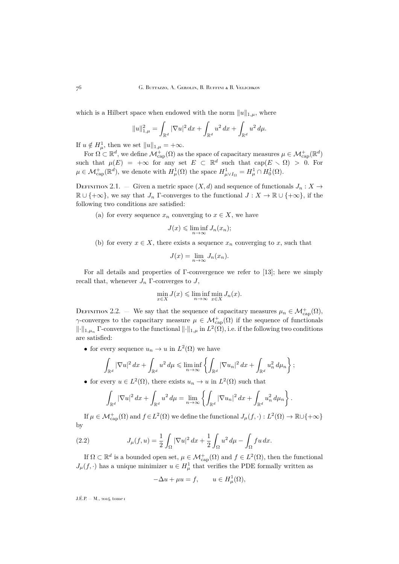<span id="page-6-0"></span>which is a Hilbert space when endowed with the norm  $||u||_{1,\mu}$ , where

$$
||u||_{1,\mu}^2 = \int_{\mathbb{R}^d} |\nabla u|^2 \, dx + \int_{\mathbb{R}^d} u^2 \, dx + \int_{\mathbb{R}^d} u^2 \, d\mu.
$$

If  $u \notin H^1_\mu$ , then we set  $||u||_{1,\mu} = +\infty$ .

For  $\Omega \subset \mathbb{R}^d$ , we define  $\mathcal{M}^+_{\text{cap}}(\Omega)$  as the space of capacitary measures  $\mu \in \mathcal{M}^+_{\text{cap}}(\mathbb{R}^d)$ such that  $\mu(E) = +\infty$  for any set  $E \subset \mathbb{R}^d$  such that  $cap(E \setminus \Omega) > 0$ . For  $\mu \in \mathcal{M}_{\text{cap}}^+(\mathbb{R}^d)$ , we denote with  $H^1_\mu(\Omega)$  the space  $H^1_{\mu\vee I_{\Omega}} = H^1_\mu \cap H^1_0(\Omega)$ .

DEFINITION 2.1. — Given a metric space  $(X, d)$  and sequence of functionals  $J_n : X \to Y$  $\mathbb{R} \cup \{+\infty\}$ , we say that  $J_n$  Γ-converges to the functional  $J : X \to \mathbb{R} \cup \{+\infty\}$ , if the following two conditions are satisfied:

(a) for every sequence  $x_n$  converging to  $x \in X$ , we have

$$
J(x) \leq \liminf_{n \to \infty} J_n(x_n);
$$

(b) for every  $x \in X$ , there exists a sequence  $x_n$  converging to x, such that

$$
J(x) = \lim_{n \to \infty} J_n(x_n).
$$

For all details and properties of Γ-convergence we refer to [\[13\]](#page-29-0); here we simply recall that, whenever  $J_n$  Γ-converges to J,

$$
\min_{x \in X} J(x) \leq \liminf_{n \to \infty} \min_{x \in X} J_n(x).
$$

DEFINITION 2.2. — We say that the sequence of capacitary measures  $\mu_n \in \mathcal{M}^+_{\text{cap}}(\Omega)$ ,  $\gamma$ -converges to the capacitary measure  $\mu \in \mathcal{M}^+_{\text{cap}}(\Omega)$  if the sequence of functionals  $\|\cdot\|_{1,\mu_n}$  Γ-converges to the functional  $\|\cdot\|_{1,\mu}$  in  $L^2(\Omega)$ , i.e. if the following two conditions are satisfied:

• for every sequence  $u_n \to u$  in  $L^2(\Omega)$  we have

$$
\int_{\mathbb{R}^d} |\nabla u|^2 \, dx + \int_{\mathbb{R}^d} u^2 \, d\mu \le \liminf_{n \to \infty} \left\{ \int_{\mathbb{R}^d} |\nabla u_n|^2 \, dx + \int_{\mathbb{R}^d} u_n^2 \, d\mu_n \right\};
$$

• for every  $u \in L^2(\Omega)$ , there exists  $u_n \to u$  in  $L^2(\Omega)$  such that

$$
\int_{\mathbb{R}^d} |\nabla u|^2 \, dx + \int_{\mathbb{R}^d} u^2 \, d\mu = \lim_{n \to \infty} \left\{ \int_{\mathbb{R}^d} |\nabla u_n|^2 \, dx + \int_{\mathbb{R}^d} u_n^2 \, d\mu_n \right\}.
$$

If  $\mu \in \mathcal{M}^+_{\text{cap}}(\Omega)$  and  $f \in L^2(\Omega)$  we define the functional  $J_\mu(f, \cdot) : L^2(\Omega) \to \mathbb{R} \cup \{+\infty\}$ by

(2.2) 
$$
J_{\mu}(f, u) = \frac{1}{2} \int_{\Omega} |\nabla u|^2 dx + \frac{1}{2} \int_{\Omega} u^2 d\mu - \int_{\Omega} fu dx.
$$

If  $\Omega \subset \mathbb{R}^d$  is a bounded open set,  $\mu \in \mathcal{M}^+_{\text{cap}}(\Omega)$  and  $f \in L^2(\Omega)$ , then the functional  $J_{\mu}(f, \cdot)$  has a unique minimizer  $u \in H^1_{\mu}$  that verifies the PDE formally written as

$$
-\Delta u + \mu u = f, \qquad u \in H^1_\mu(\Omega),
$$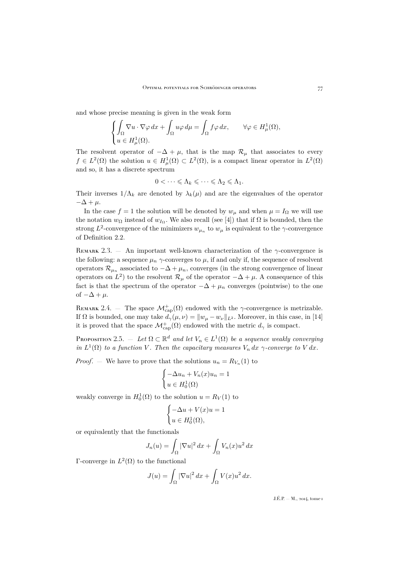<span id="page-7-0"></span>and whose precise meaning is given in the weak form

$$
\begin{cases}\n\int_{\Omega} \nabla u \cdot \nabla \varphi \, dx + \int_{\Omega} u \varphi \, d\mu = \int_{\Omega} f \varphi \, dx, & \forall \varphi \in H^1_{\mu}(\Omega), \\
u \in H^1_{\mu}(\Omega).\n\end{cases}
$$

The resolvent operator of  $-\Delta + \mu$ , that is the map  $\mathcal{R}_{\mu}$  that associates to every  $f \in L^2(\Omega)$  the solution  $u \in H^1_\mu(\Omega) \subset L^2(\Omega)$ , is a compact linear operator in  $L^2(\Omega)$ and so, it has a discrete spectrum

$$
0<\dots\leqslant \Lambda_k\leqslant \dots\leqslant \Lambda_2\leqslant \Lambda_1.
$$

Their inverses  $1/\Lambda_k$  are denoted by  $\lambda_k(\mu)$  and are the eigenvalues of the operator  $-\Delta + \mu$ .

In the case  $f = 1$  the solution will be denoted by  $w_{\mu}$  and when  $\mu = I_{\Omega}$  we will use the notation  $w_{\Omega}$  instead of  $w_{I_{\Omega}}$ . We also recall (see [\[4\]](#page-29-0)) that if  $\Omega$  is bounded, then the strong  $L^2$ -convergence of the minimizers  $w_{\mu_n}$  to  $w_{\mu}$  is equivalent to the  $\gamma$ -convergence of Definition [2.2.](#page-6-0)

REMARK 2.3.  $-$  An important well-known characterization of the  $\gamma$ -convergence is the following: a sequence  $\mu_n \gamma$ -converges to  $\mu$ , if and only if, the sequence of resolvent operators  $\mathcal{R}_{\mu_n}$  associated to  $-\Delta + \mu_n$ , converges (in the strong convergence of linear operators on  $L^2$ ) to the resolvent  $\mathcal{R}_{\mu}$  of the operator  $-\Delta + \mu$ . A consequence of this fact is that the spectrum of the operator  $-\Delta + \mu_n$  converges (pointwise) to the one of  $-\Delta + \mu$ .

REMARK 2.4. – The space  $\mathcal{M}^+_{\text{cap}}(\Omega)$  endowed with the  $\gamma$ -convergence is metrizable. If  $\Omega$  is bounded, one may take  $d_{\gamma}(\mu, \nu) = ||w_{\mu} - w_{\nu}||_{L^2}$ . Moreover, in this case, in [\[14\]](#page-29-0) it is proved that the space  $\mathcal{M}^+_{\text{cap}}(\Omega)$  endowed with the metric  $d_\gamma$  is compact.

PROPOSITION 2.5.  $-$  *Let*  $\Omega \subset \mathbb{R}^d$  *and let*  $V_n \in L^1(\Omega)$  *be a sequence weakly converging in*  $L^1(\Omega)$  *to a function* V. Then the capacitary measures  $V_n dx \gamma$ -converge to V dx.

*Proof.* – We have to prove that the solutions  $u_n = R_{V_n}(1)$  to

$$
\begin{cases}\n-\Delta u_n + V_n(x)u_n = 1 \\
u \in H_0^1(\Omega)\n\end{cases}
$$

weakly converge in  $H_0^1(\Omega)$  to the solution  $u = R_V(1)$  to

$$
\begin{cases}\n-\Delta u + V(x)u = 1 \\
u \in H_0^1(\Omega),\n\end{cases}
$$

or equivalently that the functionals

$$
J_n(u) = \int_{\Omega} |\nabla u|^2 dx + \int_{\Omega} V_n(x)u^2 dx
$$

Γ-converge in  $L^2(\Omega)$  to the functional

$$
J(u) = \int_{\Omega} |\nabla u|^2 dx + \int_{\Omega} V(x)u^2 dx.
$$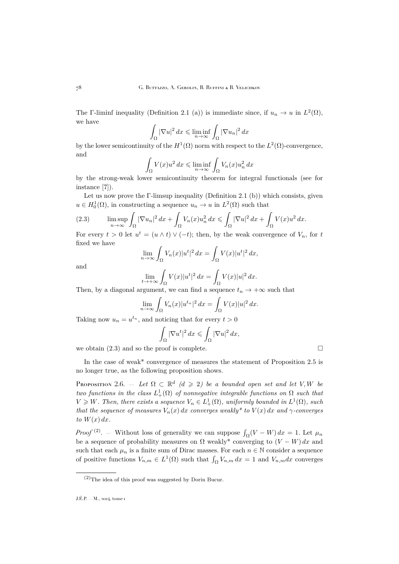<span id="page-8-0"></span>The Γ-liminf inequality (Definition [2.1](#page-6-0) (a)) is immediate since, if  $u_n \to u$  in  $L^2(\Omega)$ , we have

$$
\int_{\Omega} |\nabla u|^2 dx \leqslant \liminf_{n \to \infty} \int_{\Omega} |\nabla u_n|^2 dx
$$

by the lower semicontinuity of the  $H^1(\Omega)$  norm with respect to the  $L^2(\Omega)$ -convergence, and

$$
\int_{\Omega} V(x)u^2 dx \le \liminf_{n \to \infty} \int_{\Omega} V_n(x)u_n^2 dx
$$

by the strong-weak lower semicontinuity theorem for integral functionals (see for instance [\[7\]](#page-29-0)).

Let us now prove the Γ-limsup inequality (Definition [2.1](#page-6-0) (b)) which consists, given  $u \in H_0^1(\Omega)$ , in constructing a sequence  $u_n \to u$  in  $L^2(\Omega)$  such that

(2.3) 
$$
\limsup_{n \to \infty} \int_{\Omega} |\nabla u_n|^2 dx + \int_{\Omega} V_n(x) u_n^2 dx \le \int_{\Omega} |\nabla u|^2 dx + \int_{\Omega} V(x) u^2 dx.
$$

For every  $t > 0$  let  $u^t = (u \wedge t) \vee (-t)$ ; then, by the weak convergence of  $V_n$ , for t fixed we have

$$
\lim_{n \to \infty} \int_{\Omega} V_n(x) |u^t|^2 dx = \int_{\Omega} V(x) |u^t|^2 dx,
$$

and

$$
\lim_{t \to +\infty} \int_{\Omega} V(x)|u^t|^2 dx = \int_{\Omega} V(x)|u|^2 dx.
$$

Then, by a diagonal argument, we can find a sequence  $t_n \to +\infty$  such that

$$
\lim_{n \to \infty} \int_{\Omega} V_n(x) |u^{t_n}|^2 dx = \int_{\Omega} V(x) |u|^2 dx.
$$

Taking now  $u_n = u^{t_n}$ , and noticing that for every  $t > 0$ 

$$
\int_{\Omega} |\nabla u^t|^2 dx \leqslant \int_{\Omega} |\nabla u|^2 dx,
$$

we obtain  $(2.3)$  and so the proof is complete.

In the case of weak\* convergence of measures the statement of Proposition [2.5](#page-7-0) is no longer true, as the following proposition shows.

PROPOSITION 2.6. — Let  $\Omega \subset \mathbb{R}^d$  ( $d \geqslant 2$ ) be a bounded open set and let V, W be *two functions in the class*  $L^1_+(\Omega)$  *of nonnegative integrable functions on*  $\Omega$  *such that*  $V \geq W$ . Then, there exists a sequence  $V_n \in L^1_+(\Omega)$ , uniformly bounded in  $L^1(\Omega)$ , such *that the sequence of measures*  $V_n(x) dx$  *converges weakly\* to*  $V(x) dx$  *and*  $\gamma$ *-converges to*  $W(x) dx$ *.* 

*Proof*<sup>(2)</sup>. – Without loss of generality we can suppose  $\int_{\Omega}(V - W) dx = 1$ . Let  $\mu_n$ be a sequence of probability measures on  $\Omega$  weakly<sup>\*</sup> converging to  $(V - W) dx$  and such that each  $\mu_n$  is a finite sum of Dirac masses. For each  $n \in \mathbb{N}$  consider a sequence of positive functions  $V_{n,m} \in L^1(\Omega)$  such that  $\int_{\Omega} V_{n,m} dx = 1$  and  $V_{n,m} dx$  converges

 $(2)$ The idea of this proof was suggested by Dorin Bucur.

J.É.P. — M., 2014, tome 1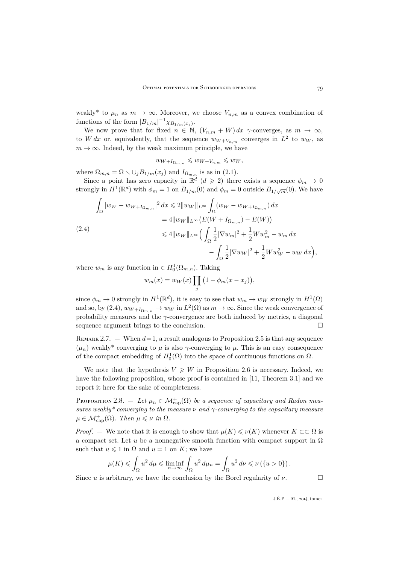<span id="page-9-0"></span>weakly<sup>\*</sup> to  $\mu_n$  as  $m \to \infty$ . Moreover, we choose  $V_{n,m}$  as a convex combination of functions of the form  $|B_{1/m}|^{-1}\chi_{B_{1/m}(x_j)}$ .

We now prove that for fixed  $n \in \mathbb{N}$ ,  $(V_{n,m} + W) dx$   $\gamma$ -converges, as  $m \to \infty$ , to W dx or, equivalently, that the sequence  $w_{W+V_{n,m}}$  converges in  $L^2$  to  $w_W$ , as  $m \to \infty$ . Indeed, by the weak maximum principle, we have

$$
w_{W+I_{\Omega_{m,n}}} \leqslant w_{W+V_{n,m}} \leqslant w_W,
$$

where  $\Omega_{m,n} = \Omega \setminus \bigcup_j B_{1/m}(x_j)$  and  $I_{\Omega_{m,n}}$  is as in [\(2.1\)](#page-5-0).

Since a point has zero capacity in  $\mathbb{R}^d$  ( $d \geq 2$ ) there exists a sequence  $\phi_m \to 0$ strongly in  $H^1(\mathbb{R}^d)$  with  $\phi_m = 1$  on  $B_{1/m}(0)$  and  $\phi_m = 0$  outside  $B_{1/\sqrt{m}}(0)$ . We have

$$
\int_{\Omega} |w_W - w_{W + I_{\Omega_{m,n}}}|^2 dx \leq 2\|w_W\|_{L^{\infty}} \int_{\Omega} (w_W - w_{W + I_{\Omega_{m,n}}}) dx
$$
  
\n
$$
= 4\|w_W\|_{L^{\infty}} (E(W + I_{\Omega_{m,n}}) - E(W))
$$
  
\n
$$
\leq 4\|w_W\|_{L^{\infty}} \Big(\int_{\Omega} \frac{1}{2} |\nabla w_m|^2 + \frac{1}{2} W w_m^2 - w_m dx
$$
  
\n
$$
- \int_{\Omega} \frac{1}{2} |\nabla w_W|^2 + \frac{1}{2} W w_W^2 - w_W dx \Big),
$$

where  $w_m$  is any function in  $\in H_0^1(\Omega_{m,n})$ . Taking

$$
w_m(x) = w_W(x) \prod_j \left(1 - \phi_m(x - x_j)\right),
$$

since  $\phi_m \to 0$  strongly in  $H^1(\mathbb{R}^d)$ , it is easy to see that  $w_m \to w_W$  strongly in  $H^1(\Omega)$ and so, by (2.4),  $w_{W+I_{\Omega_{m,n}}} \to w_W$  in  $L^2(\Omega)$  as  $m \to \infty$ . Since the weak convergence of probability measures and the  $\gamma$ -convergence are both induced by metrics, a diagonal sequence argument brings to the conclusion.

REMARK 2.7. — When  $d=1$ , a result analogous to Proposition [2.5](#page-7-0) is that any sequence  $(\mu_n)$  weakly<sup>\*</sup> converging to  $\mu$  is also  $\gamma$ -converging to  $\mu$ . This is an easy consequence of the compact embedding of  $H_0^1(\Omega)$  into the space of continuous functions on  $\Omega$ .

We note that the hypothesis  $V \geq W$  in Proposition [2.6](#page-8-0) is necessary. Indeed, we have the following proposition, whose proof is contained in [\[11,](#page-29-0) Theorem 3.1] and we report it here for the sake of completeness.

Proposition 2.8.  $-$  *Let*  $\mu_n \in \mathcal{M}_{\mathop{\rm cap}}^+(\Omega)$  *be a sequence of capacitary and Radon measures weakly\* converging to the measure* ν *and* γ*-converging to the capacitary measure*  $\mu \in \mathcal{M}_{\mathop{\rm cap}}^+(\Omega)$ *. Then*  $\mu \leqslant \nu$  *in*  $\Omega$ *.* 

*Proof.* — We note that it is enough to show that  $\mu(K) \leq \nu(K)$  whenever  $K \subset\subset \Omega$  is a compact set. Let u be a nonnegative smooth function with compact support in  $\Omega$ such that  $u \leq 1$  in  $\Omega$  and  $u = 1$  on K; we have

$$
\mu(K) \leq \int_{\Omega} u^2 d\mu \leq \liminf_{n \to \infty} \int_{\Omega} u^2 d\mu_n = \int_{\Omega} u^2 d\nu \leq \nu (\{u > 0\}).
$$

Since u is arbitrary, we have the conclusion by the Borel regularity of  $\nu$ .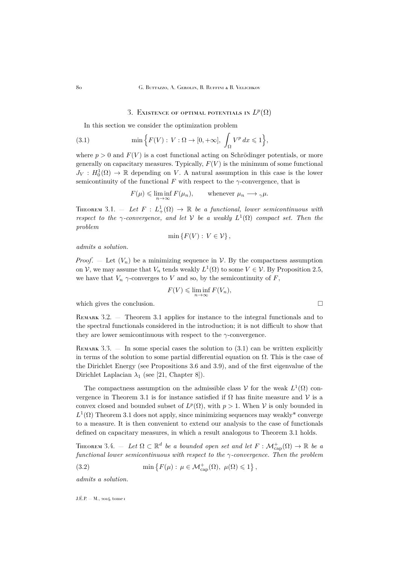## 3. Existence of optimal potentials in  $L^p(\Omega)$

<span id="page-10-0"></span>In this section we consider the optimization problem

(3.1) 
$$
\min\Big\{F(V): V:\Omega\to[0,+\infty], \int_{\Omega}V^p\,dx\leqslant 1\Big\},\
$$

where  $p > 0$  and  $F(V)$  is a cost functional acting on Schrödinger potentials, or more generally on capacitary measures. Typically,  $F(V)$  is the minimum of some functional  $J_V: H_0^1(\Omega) \to \mathbb{R}$  depending on V. A natural assumption in this case is the lower semicontinuity of the functional F with respect to the  $\gamma$ -convergence, that is

$$
F(\mu) \leq \liminf_{n \to \infty} F(\mu_n),
$$
 whenever  $\mu_n \longrightarrow \gamma \mu.$ 

THEOREM 3.1.  $-$  Let  $F: L^1_+(\Omega) \to \mathbb{R}$  be a functional, lower semicontinuous with *respect to the*  $\gamma$ -convergence, and let  $V$  be a weakly  $L^1(\Omega)$  compact set. Then the *problem*

$$
\min\left\{F(V): V \in \mathcal{V}\right\},\
$$

*admits a solution.*

*Proof.* – Let  $(V_n)$  be a minimizing sequence in V. By the compactness assumption on  $V$ , we may assume that  $V_n$  tends weakly  $L^1(\Omega)$  to some  $V \in V$ . By Proposition [2.5,](#page-7-0) we have that  $V_n$   $\gamma$ -converges to V and so, by the semicontinuity of F,

$$
F(V) \leq \liminf_{n \to \infty} F(V_n),
$$

which gives the conclusion.  $\square$ 

REMARK 3.2. — Theorem 3.1 applies for instance to the integral functionals and to the spectral functionals considered in the introduction; it is not difficult to show that they are lower semicontinuous with respect to the  $\gamma$ -convergence.

REMARK  $3.3.$  — In some special cases the solution to  $(3.1)$  can be written explicitly in terms of the solution to some partial differential equation on  $\Omega$ . This is the case of the Dirichlet Energy (see Propositions [3.6](#page-12-0) and [3.9\)](#page-14-0), and of the first eigenvalue of the Dirichlet Laplacian  $\lambda_1$  (see [\[21,](#page-30-0) Chapter 8]).

The compactness assumption on the admissible class  $\mathcal V$  for the weak  $L^1(\Omega)$  convergence in Theorem 3.1 is for instance satisfied if  $\Omega$  has finite measure and V is a convex closed and bounded subset of  $L^p(\Omega)$ , with  $p > 1$ . When V is only bounded in  $L^1(\Omega)$  Theorem 3.1 does not apply, since minimizing sequences may weakly<sup>\*</sup> converge to a measure. It is then convenient to extend our analysis to the case of functionals defined on capacitary measures, in which a result analogous to Theorem 3.1 holds.

THEOREM 3.4.  $-$  Let  $\Omega \subset \mathbb{R}^d$  be a bounded open set and let  $F : \mathcal{M}_{\mathrm{cap}}^+(\Omega) \to \mathbb{R}$  be a *functional lower semicontinuous with respect to the* γ*-convergence. Then the problem*

(3.2) 
$$
\min\left\{F(\mu): \mu \in \mathcal{M}^+_{\text{cap}}(\Omega), \ \mu(\Omega) \leq 1\right\},\
$$

*admits a solution.*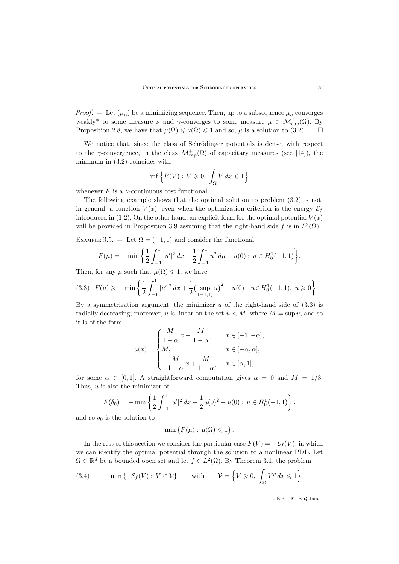<span id="page-11-0"></span>*Proof.* – Let  $(\mu_n)$  be a minimizing sequence. Then, up to a subsequence  $\mu_n$  converges weakly\* to some measure  $\nu$  and  $\gamma$ -converges to some measure  $\mu \in \mathcal{M}_{\text{cap}}^+(\Omega)$ . By Proposition [2.8,](#page-9-0) we have that  $\mu(\Omega) \leq \nu(\Omega) \leq 1$  and so,  $\mu$  is a solution to [\(3.2\)](#page-10-0).  $\Box$ 

We notice that, since the class of Schrödinger potentials is dense, with respect to the  $\gamma$ -convergence, in the class  $\mathcal{M}^+_{\text{cap}}(\Omega)$  of capacitary measures (see [\[14\]](#page-29-0)), the minimum in [\(3.2\)](#page-10-0) coincides with

$$
\inf \left\{ F(V) : V \geqslant 0, \int_{\Omega} V dx \leqslant 1 \right\}
$$

whenever  $F$  is a  $\gamma$ -continuous cost functional.

The following example shows that the optimal solution to problem [\(3.2\)](#page-10-0) is not, in general, a function  $V(x)$ , even when the optimization criterion is the energy  $\mathcal{E}_f$ introduced in [\(1.2\)](#page-2-0). On the other hand, an explicit form for the optimal potential  $V(x)$ will be provided in Proposition [3.9](#page-14-0) assuming that the right-hand side f is in  $L^2(\Omega)$ .

EXAMPLE 3.5. — Let  $\Omega = (-1, 1)$  and consider the functional

$$
F(\mu) = -\min\left\{\frac{1}{2}\int_{-1}^1 |u'|^2 dx + \frac{1}{2}\int_{-1}^1 u^2 d\mu - u(0) : u \in H_0^1(-1,1)\right\}.
$$

Then, for any  $\mu$  such that  $\mu(\Omega) \leq 1$ , we have

$$
(3.3) \ \ F(\mu) \geqslant -\min\bigg\{\frac{1}{2}\int_{-1}^{1}|u'|^{2} dx + \frac{1}{2}\big(\sup_{(-1,1)}u\big)^{2} - u(0): \ u \in H_{0}^{1}(-1,1), \ u \geqslant 0\bigg\}.
$$

By a symmetrization argument, the minimizer  $u$  of the right-hand side of  $(3.3)$  is radially decreasing; moreover, u is linear on the set  $u < M$ , where  $M = \sup u$ , and so it is of the form

$$
u(x) = \begin{cases} \frac{M}{1-\alpha}x + \frac{M}{1-\alpha}, & x \in [-1, -\alpha], \\ M, & x \in [-\alpha, \alpha], \\ -\frac{M}{1-\alpha}x + \frac{M}{1-\alpha}, & x \in [\alpha, 1], \end{cases}
$$

for some  $\alpha \in [0,1]$ . A straightforward computation gives  $\alpha = 0$  and  $M = 1/3$ . Thus, u is also the minimizer of

$$
F(\delta_0) = -\min\left\{\frac{1}{2}\int_{-1}^1 |u'|^2 dx + \frac{1}{2}u(0)^2 - u(0) : u \in H_0^1(-1,1)\right\},\,
$$

and so  $\delta_0$  is the solution to

$$
\min\left\{F(\mu):\,\mu(\Omega)\leqslant 1\right\}.
$$

In the rest of this section we consider the particular case  $F(V) = -\mathcal{E}_f(V)$ , in which we can identify the optimal potential through the solution to a nonlinear PDE. Let  $\Omega \subset \mathbb{R}^d$  be a bounded open set and let  $f \in L^2(\Omega)$ . By Theorem [3.1,](#page-10-0) the problem

(3.4) 
$$
\min\{-\mathcal{E}_f(V): V \in \mathcal{V}\} \quad \text{with} \quad \mathcal{V} = \Big\{V \geq 0, \int_{\Omega} V^p dx \leq 1\Big\},
$$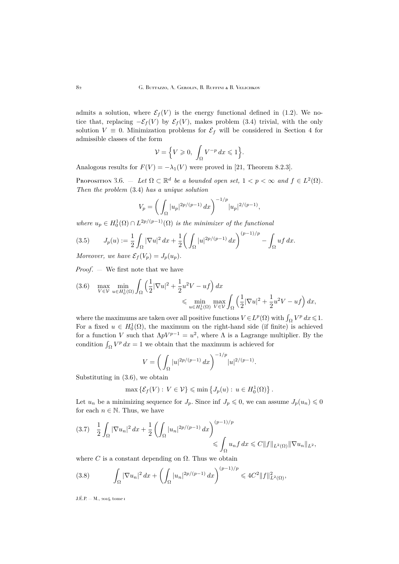<span id="page-12-0"></span>admits a solution, where  $\mathcal{E}_f(V)$  is the energy functional defined in [\(1.2\)](#page-2-0). We notice that, replacing  $-\mathcal{E}_f(V)$  by  $\mathcal{E}_f(V)$ , makes problem [\(3.4\)](#page-11-0) trivial, with the only solution  $V \equiv 0$ . Minimization problems for  $\mathcal{E}_f$  will be considered in Section [4](#page-17-0) for admissible classes of the form

$$
\mathcal{V} = \Big\{ V \geqslant 0, \int_{\Omega} V^{-p} dx \leqslant 1 \Big\}.
$$

Analogous results for  $F(V) = -\lambda_1(V)$  were proved in [\[21,](#page-30-0) Theorem 8.2.3].

PROPOSITION 3.6. — Let  $\Omega \subset \mathbb{R}^d$  be a bounded open set,  $1 < p < \infty$  and  $f \in L^2(\Omega)$ . *Then the problem* [\(3.4\)](#page-11-0) *has a unique solution*

$$
V_p = \left(\int_{\Omega} |u_p|^{2p/(p-1)} dx\right)^{-1/p} |u_p|^{2/(p-1)},
$$

where  $u_p \in H_0^1(\Omega) \cap L^{2p/(p-1)}(\Omega)$  *is the minimizer of the functional* 

(3.5) 
$$
J_p(u) := \frac{1}{2} \int_{\Omega} |\nabla u|^2 dx + \frac{1}{2} \left( \int_{\Omega} |u|^{2p/(p-1)} dx \right)^{(p-1)/p} - \int_{\Omega} uf \, dx.
$$

*Moreover, we have*  $\mathcal{E}_f(V_p) = J_p(u_p)$ *.* 

*Proof*. — We first note that we have

$$
(3.6) \quad \max_{V \in \mathcal{V}} \min_{u \in H_0^1(\Omega)} \int_{\Omega} \left( \frac{1}{2} |\nabla u|^2 + \frac{1}{2} u^2 V - u f \right) dx \leq \min_{u \in H_0^1(\Omega)} \max_{V \in \mathcal{V}} \int_{\Omega} \left( \frac{1}{2} |\nabla u|^2 + \frac{1}{2} u^2 V - u f \right) dx,
$$

where the maximums are taken over all positive functions  $V \in L^p(\Omega)$  with  $\int_{\Omega} V^p dx \leq 1$ . For a fixed  $u \in H_0^1(\Omega)$ , the maximum on the right-hand side (if finite) is achieved for a function V such that  $\Lambda pV^{p-1} = u^2$ , where  $\Lambda$  is a Lagrange multiplier. By the condition  $\int_{\Omega} V^p dx = 1$  we obtain that the maximum is achieved for

$$
V = \left(\int_{\Omega} |u|^{2p/(p-1)} dx\right)^{-1/p} |u|^{2/(p-1)}.
$$

Substituting in (3.6), we obtain

$$
\max \left\{ \mathcal{E}_f(V) : V \in \mathcal{V} \right\} \leqslant \min \left\{ J_p(u) : u \in H_0^1(\Omega) \right\}.
$$

Let  $u_n$  be a minimizing sequence for  $J_p$ . Since inf  $J_p \leq 0$ , we can assume  $J_p(u_n) \leq 0$ for each  $n \in \mathbb{N}$ . Thus, we have

$$
(3.7) \quad \frac{1}{2} \int_{\Omega} |\nabla u_n|^2 \, dx + \frac{1}{2} \left( \int_{\Omega} |u_n|^{2p/(p-1)} \, dx \right)^{(p-1)/p} \leqslant \int_{\Omega} u_n f \, dx \leqslant C \|f\|_{L^2(\Omega)} \|\nabla u_n\|_{L^2},
$$

where C is a constant depending on  $\Omega$ . Thus we obtain

(3.8) 
$$
\int_{\Omega} |\nabla u_n|^2 dx + \left( \int_{\Omega} |u_n|^{2p/(p-1)} dx \right)^{(p-1)/p} \leq 4C^2 \|f\|_{L^2(\Omega)}^2,
$$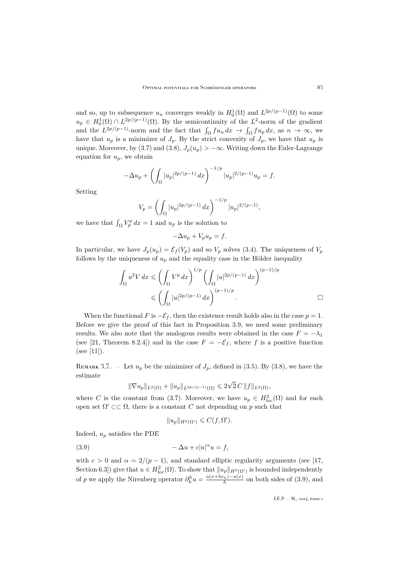<span id="page-13-0"></span>and so, up to subsequence  $u_n$  converges weakly in  $H_0^1(\Omega)$  and  $L^{2p/(p-1)}(\Omega)$  to some  $u_p \in H_0^1(\Omega) \cap L^{2p/(p-1)}(\Omega)$ . By the semicontinuity of the  $L^2$ -norm of the gradient and the  $L^{2p/(p-1)}$ -norm and the fact that  $\int_{\Omega} fu_n dx \to \int_{\Omega} fu_p dx$ , as  $n \to \infty$ , we have that  $u_p$  is a minimizer of  $J_p$ . By the strict convexity of  $J_p$ , we have that  $u_p$  is unique. Moreover, by [\(3.7\)](#page-12-0) and [\(3.8\)](#page-12-0),  $J_p(u_p) > -\infty$ . Writing down the Euler-Lagrange equation for  $u_p$ , we obtain

$$
-\Delta u_p + \left(\int_{\Omega} |u_p|^{2p/(p-1)} dx\right)^{-1/p} |u_p|^{2/(p-1)} u_p = f.
$$

Setting

$$
V_p = \left(\int_{\Omega} |u_p|^{2p/(p-1)} dx\right)^{-1/p} |u_p|^{2/(p-1)},
$$

we have that  $\int_{\Omega} V_p^p dx = 1$  and  $u_p$  is the solution to

$$
-\Delta u_p + V_p u_p = f.
$$

In particular, we have  $J_p(u_p) = \mathcal{E}_f(V_p)$  and so  $V_p$  solves [\(3.4\)](#page-11-0). The uniqueness of  $V_p$ follows by the uniqueness of  $u_p$  and the equality case in the Hölder inequality

$$
\int_{\Omega} u^2 V dx \leqslant \left( \int_{\Omega} V^p dx \right)^{1/p} \left( \int_{\Omega} |u|^{2p/(p-1)} dx \right)^{(p-1)/p}
$$
  

$$
\leqslant \left( \int_{\Omega} |u|^{2p/(p-1)} dx \right)^{(p-1)/p} .
$$

When the functional F is  $-\mathcal{E}_f$ , then the existence result holds also in the case  $p = 1$ . Before we give the proof of this fact in Proposition [3.9,](#page-14-0) we need some preliminary results. We also note that the analogous results were obtained in the case  $F = -\lambda_1$ (see [\[21,](#page-30-0) Theorem 8.2.4]) and in the case  $F = -\mathcal{E}_f$ , where f is a positive function (see [\[11\]](#page-29-0)).

REMARK 3.7. – Let  $u_p$  be the minimizer of  $J_p$ , defined in [\(3.5\)](#page-12-0). By [\(3.8\)](#page-12-0), we have the estimate √

$$
\|\nabla u_p\|_{L^2(\Omega)} + \|u_p\|_{L^{2p/(p-1)}(\Omega)} \leq 2\sqrt{2} C \|f\|_{L^2(\Omega)},
$$

where C is the constant from [\(3.7\)](#page-12-0). Moreover, we have  $u_p \in H^2_{loc}(\Omega)$  and for each open set  $\Omega' \subset\subset \Omega$ , there is a constant C not depending on p such that

$$
||u_p||_{H^2(\Omega')} \leqslant C(f, \Omega').
$$

Indeed,  $u_p$  satisfies the PDE

(3.9) 
$$
-\Delta u + c|u|^\alpha u = f,
$$

with  $c > 0$  and  $\alpha = 2/(p - 1)$ , and standard elliptic regularity arguments (see [\[17,](#page-30-0) Section 6.3]) give that  $u \in H^2_{loc}(\Omega)$ . To show that  $||u_p||_{H^2(\Omega')}$  is bounded independently of p we apply the Nirenberg operator  $\partial_k^h u = \frac{u(x+h e_k)-u(x)}{h}$  on both sides of (3.9), and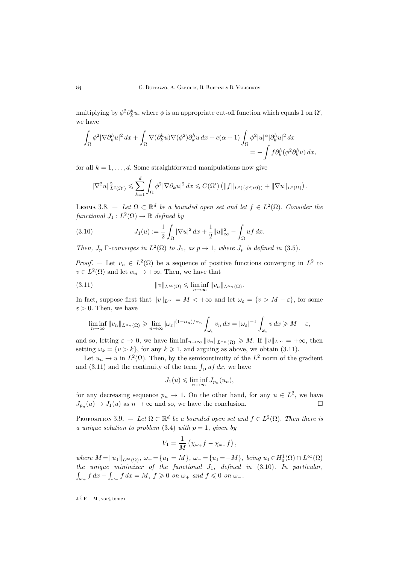<span id="page-14-0"></span>multiplying by  $\phi^2 \partial_k^h u$ , where  $\phi$  is an appropriate cut-off function which equals 1 on  $\Omega'$ , we have

$$
\begin{split} \int_{\Omega}\phi^2|\nabla\partial_k^h u|^2\,dx + \int_{\Omega}\nabla(\partial_k^h u)\nabla(\phi^2)\partial_k^h u\,dx + c(\alpha+1)\int_{\Omega}\phi^2|u|^\alpha|\partial_k^h u|^2\,dx \\ &\quad=-\int f\partial_k^h(\phi^2\partial_k^h u)\,dx, \end{split}
$$

for all  $k = 1, \ldots, d$ . Some straightforward manipulations now give

$$
\|\nabla^2 u\|_{L^2(\Omega')}^2 \leq \sum_{k=1}^d \int_{\Omega} \phi^2 |\nabla \partial_k u|^2 dx \leq C(\Omega') \left( \|f\|_{L^2(\{\phi^2 > 0\})} + \|\nabla u\|_{L^2(\Omega)} \right).
$$

LEMMA 3.8.  $-$  Let  $\Omega \subset \mathbb{R}^d$  be a bounded open set and let  $f \in L^2(\Omega)$ . Consider the  $\mathit{functional}\ J_1:L^2(\Omega)\rightarrow\mathbb{R}\ \mathit{defined}\ by$ 

(3.10) 
$$
J_1(u) := \frac{1}{2} \int_{\Omega} |\nabla u|^2 dx + \frac{1}{2} ||u||_{\infty}^2 - \int_{\Omega} uf \, dx.
$$

*Then,*  $J_p$   $\Gamma$ -converges in  $L^2(\Omega)$  to  $J_1$ , as  $p \to 1$ , where  $J_p$  is defined in [\(3.5\)](#page-12-0).

*Proof.* – Let  $v_n \in L^2(\Omega)$  be a sequence of positive functions converging in  $L^2$  to  $v \in L^2(\Omega)$  and let  $\alpha_n \to +\infty$ . Then, we have that

(3.11) 
$$
||v||_{L^{\infty}(\Omega)} \leq \liminf_{n \to \infty} ||v_n||_{L^{\alpha_n}(\Omega)}.
$$

In fact, suppose first that  $||v||_{L^{\infty}} = M < +\infty$  and let  $\omega_{\varepsilon} = \{v > M - \varepsilon\}$ , for some  $\varepsilon > 0$ . Then, we have

$$
\liminf_{n\to\infty}||v_n||_{L^{\alpha_n}(\Omega)} \geq \lim_{n\to\infty}|\omega_{\varepsilon}|^{(1-\alpha_n)/\alpha_n} \int_{\omega_{\varepsilon}} v_n dx = |\omega_{\varepsilon}|^{-1} \int_{\omega_{\varepsilon}} v dx \geq M-\varepsilon,
$$

and so, letting  $\varepsilon \to 0$ , we have  $\liminf_{n\to\infty} ||v_n||_{L^{\alpha_n}(\Omega)} \geq M$ . If  $||v||_{L^{\infty}} = +\infty$ , then setting  $\omega_k = \{v > k\}$ , for any  $k \ge 1$ , and arguing as above, we obtain (3.11).

Let  $u_n \to u$  in  $L^2(\Omega)$ . Then, by the semicontinuity of the  $L^2$  norm of the gradient and (3.11) and the continuity of the term  $\int_{\Omega} uf \, dx$ , we have

$$
J_1(u) \leqslant \liminf_{n \to \infty} J_{p_n}(u_n),
$$

for any decreasing sequence  $p_n \to 1$ . On the other hand, for any  $u \in L^2$ , we have  $J_{p_n}(u) \to J_1(u)$  as  $n \to \infty$  and so, we have the conclusion.

PROPOSITION 3.9.  $-$  *Let*  $\Omega \subset \mathbb{R}^d$  *be a bounded open set and*  $f \in L^2(\Omega)$ *. Then there is a unique solution to problem* [\(3.4\)](#page-11-0) *with*  $p = 1$ *, given by* 

$$
V_1 = \frac{1}{M} \left( \chi_{\omega_+} f - \chi_{\omega_-} f \right),
$$

 $where M = ||u_1||_{L^{\infty}(\Omega)}, \omega_+ = \{u_1 = M\}, \omega_- = \{u_1 = -M\}, being u_1 \in H_0^1(\Omega) \cap L^{\infty}(\Omega)$ *the unique minimizer of the functional* J1*, defined in* (3.10)*. In particular,*  $\int_{\omega_+} f \, dx - \int_{\omega_-} f \, dx = M, \ f \geqslant 0 \ on \ \omega_+ \ and \ f \leqslant 0 \ on \ \omega_-.$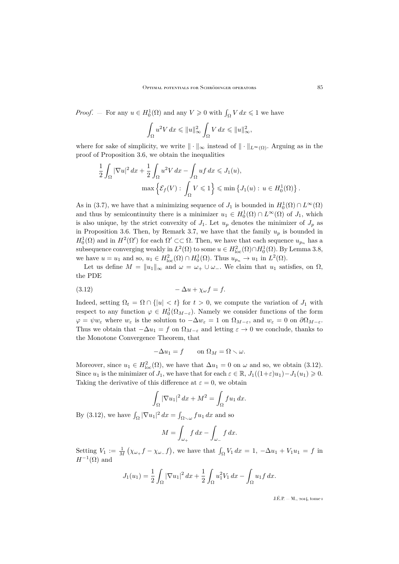*Proof.* – For any  $u \in H_0^1(\Omega)$  and any  $V \geq 0$  with  $\int_{\Omega} V dx \leq 1$  we have

$$
\int_{\Omega} u^2 V dx \leqslant ||u||_{\infty}^2 \int_{\Omega} V dx \leqslant ||u||_{\infty}^2,
$$

where for sake of simplicity, we write  $\|\cdot\|_{\infty}$  instead of  $\|\cdot\|_{L^{\infty}(\Omega)}$ . Arguing as in the proof of Proposition [3.6,](#page-12-0) we obtain the inequalities

$$
\frac{1}{2} \int_{\Omega} |\nabla u|^2 dx + \frac{1}{2} \int_{\Omega} u^2 V dx - \int_{\Omega} uf dx \leq J_1(u),
$$
  

$$
\max \left\{ \mathcal{E}_f(V) : \int_{\Omega} V \leq 1 \right\} \leq \min \left\{ J_1(u) : u \in H_0^1(\Omega) \right\}.
$$

As in [\(3.7\)](#page-12-0), we have that a minimizing sequence of  $J_1$  is bounded in  $H_0^1(\Omega) \cap L^\infty(\Omega)$ and thus by semicontinuity there is a minimizer  $u_1 \in H_0^1(\Omega) \cap L^\infty(\Omega)$  of  $J_1$ , which is also unique, by the strict convexity of  $J_1$ . Let  $u_p$  denotes the minimizer of  $J_p$  as in Proposition [3.6.](#page-12-0) Then, by Remark [3.7,](#page-13-0) we have that the family  $u_p$  is bounded in  $H_0^1(\Omega)$  and in  $H^2(\Omega')$  for each  $\Omega' \subset\subset \Omega$ . Then, we have that each sequence  $u_{p_n}$  has a subsequence converging weakly in  $L^2(\Omega)$  to some  $u \in H^2_{loc}(\Omega) \cap H^1_0(\Omega)$ . By Lemma [3.8,](#page-14-0) we have  $u = u_1$  and so,  $u_1 \in H^2_{loc}(\Omega) \cap H^1_0(\Omega)$ . Thus  $u_{p_n} \to u_1$  in  $L^2(\Omega)$ .

Let us define  $M = ||u_1||_{\infty}$  and  $\omega = \omega_+ \cup \omega_-$ . We claim that  $u_1$  satisfies, on  $\Omega$ , the PDE

$$
(3.12)\qquad \qquad -\Delta u + \chi_{\omega} f = f.
$$

Indeed, setting  $\Omega_t = \Omega \cap \{|u| < t\}$  for  $t > 0$ , we compute the variation of  $J_1$  with respect to any function  $\varphi \in H_0^1(\Omega_{M-\varepsilon})$ . Namely we consider functions of the form  $\varphi = \psi w_{\varepsilon}$  where  $w_{\varepsilon}$  is the solution to  $-\Delta w_{\varepsilon} = 1$  on  $\Omega_{M-\varepsilon}$ , and  $w_{\varepsilon} = 0$  on  $\partial \Omega_{M-\varepsilon}$ . Thus we obtain that  $-\Delta u_1 = f$  on  $\Omega_{M-\varepsilon}$  and letting  $\varepsilon \to 0$  we conclude, thanks to the Monotone Convergence Theorem, that

$$
-\Delta u_1 = f \qquad \text{on } \Omega_M = \Omega \setminus \omega.
$$

Moreover, since  $u_1 \in H^2_{loc}(\Omega)$ , we have that  $\Delta u_1 = 0$  on  $\omega$  and so, we obtain (3.12). Since  $u_1$  is the minimizer of  $J_1$ , we have that for each  $\varepsilon \in \mathbb{R}$ ,  $J_1((1+\varepsilon)u_1)-J_1(u_1) \geq 0$ . Taking the derivative of this difference at  $\varepsilon = 0$ , we obtain

$$
\int_{\Omega} |\nabla u_1|^2 \, dx + M^2 = \int_{\Omega} f u_1 \, dx.
$$

By (3.12), we have  $\int_{\Omega} |\nabla u_1|^2 dx = \int_{\Omega \setminus \omega} fu_1 dx$  and so

$$
M = \int_{\omega_+} f \, dx - \int_{\omega_-} f \, dx.
$$

Setting  $V_1 := \frac{1}{M} (\chi_{\omega_+} f - \chi_{\omega_-} f)$ , we have that  $\int_{\Omega} V_1 dx = 1, -\Delta u_1 + V_1 u_1 = f$  in  $H^{-1}(\Omega)$  and

$$
J_1(u_1) = \frac{1}{2} \int_{\Omega} |\nabla u_1|^2 dx + \frac{1}{2} \int_{\Omega} u_1^2 V_1 dx - \int_{\Omega} u_1 f dx.
$$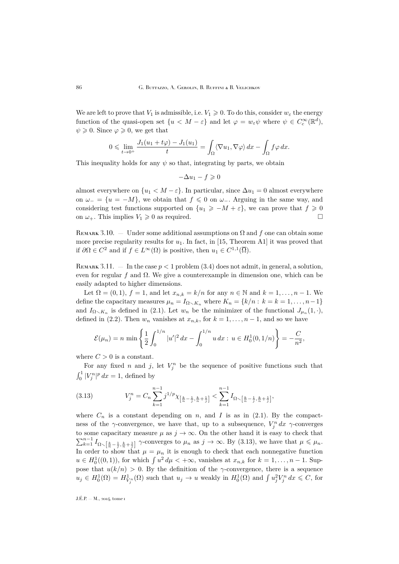<span id="page-16-0"></span>We are left to prove that  $V_1$  is admissible, i.e.  $V_1 \geq 0$ . To do this, consider  $w_{\varepsilon}$  the energy function of the quasi-open set  $\{u \lt M - \varepsilon\}$  and let  $\varphi = w_{\varepsilon} \psi$  where  $\psi \in C_c^{\infty}(\mathbb{R}^d)$ ,  $\psi \geqslant 0$ . Since  $\varphi \geqslant 0$ , we get that

$$
0 \leqslant \lim_{t \to 0^+} \frac{J_1(u_1 + t\varphi) - J_1(u_1)}{t} = \int_{\Omega} \langle \nabla u_1, \nabla \varphi \rangle \, dx - \int_{\Omega} f \varphi \, dx.
$$

This inequality holds for any  $\psi$  so that, integrating by parts, we obtain

$$
-\Delta u_1 - f \geqslant 0
$$

almost everywhere on  $\{u_1 < M - \varepsilon\}$ . In particular, since  $\Delta u_1 = 0$  almost everywhere on  $\omega = \{u = -M\}$ , we obtain that  $f \leq 0$  on  $\omega$ . Arguing in the same way, and considering test functions supported on  $\{u_1 \geq -M + \varepsilon\}$ , we can prove that  $f \geq 0$ on  $\omega_+$ . This implies  $V_1 \geq 0$  as required.

REMARK 3.10. — Under some additional assumptions on  $\Omega$  and f one can obtain some more precise regularity results for  $u_1$ . In fact, in [\[15,](#page-29-0) Theorem A1] it was proved that if  $\partial\Omega \in C^2$  and if  $f \in L^{\infty}(\Omega)$  is positive, then  $u_1 \in C^{1,1}(\overline{\Omega})$ .

REMARK 3.11.  $-$  In the case  $p < 1$  problem [\(3.4\)](#page-11-0) does not admit, in general, a solution, even for regular f and  $\Omega$ . We give a counterexample in dimension one, which can be easily adapted to higher dimensions.

Let  $\Omega = (0,1)$ ,  $f = 1$ , and let  $x_{n,k} = k/n$  for any  $n \in \mathbb{N}$  and  $k = 1, \ldots, n-1$ . We define the capacitary measures  $\mu_n = I_{\Omega \setminus K_n}$  where  $K_n = \{k/n : k = k = 1, \ldots, n-1\}$ and  $I_{\Omega\setminus K_n}$  is defined in [\(2.1\)](#page-5-0). Let  $w_n$  be the minimizer of the functional  $J_{\mu_n}(1,\cdot)$ , defined in [\(2.2\)](#page-6-0). Then  $w_n$  vanishes at  $x_{n,k}$ , for  $k = 1, \ldots, n-1$ , and so we have

$$
\mathcal{E}(\mu_n) = n \min \left\{ \frac{1}{2} \int_0^{1/n} |u'|^2 dx - \int_0^{1/n} u dx : u \in H_0^1(0, 1/n) \right\} = -\frac{C}{n^2},
$$

where  $C > 0$  is a constant.

For any fixed n and j, let  $V_j^n$  be the sequence of positive functions such that  $\int_0^1 |V_j^n|^p dx = 1$ , defined by

(3.13) 
$$
V_j^n = C_n \sum_{k=1}^{n-1} j^{1/p} \chi_{\left[\frac{k}{n} - \frac{1}{j}, \frac{k}{n} + \frac{1}{j}\right]} < \sum_{k=1}^{n-1} I_{\Omega \setminus \left[\frac{k}{n} - \frac{1}{j}, \frac{k}{n} + \frac{1}{j}\right]},
$$

where  $C_n$  is a constant depending on n, and I is as in [\(2.1\)](#page-5-0). By the compactness of the  $\gamma$ -convergence, we have that, up to a subsequence,  $V_j^n dx \gamma$ -converges to some capacitary measure  $\mu$  as  $j \to \infty$ . On the other hand it is easy to check that  $\sum_{k=1}^{n-1} I_{\Omega \setminus \left[\frac{k}{n}-\frac{1}{j},\frac{k}{n}+\frac{1}{j}\right]}$   $\gamma$ -converges to  $\mu_n$  as  $j \to \infty$ . By (3.13), we have that  $\mu \leq \mu_n$ . In order to show that  $\mu = \mu_n$  it is enough to check that each nonnegative function  $u \in H_0^1((0,1))$ , for which  $\int u^2 d\mu < +\infty$ , vanishes at  $x_{n,k}$  for  $k = 1, \ldots, n-1$ . Suppose that  $u(k/n) > 0$ . By the definition of the  $\gamma$ -convergence, there is a sequence  $u_j \in H_0^1(\Omega) = H_{V_j^n}^1(\Omega)$  such that  $u_j \to u$  weakly in  $H_0^1(\Omega)$  and  $\int u_j^2 V_j^n dx \leq C$ , for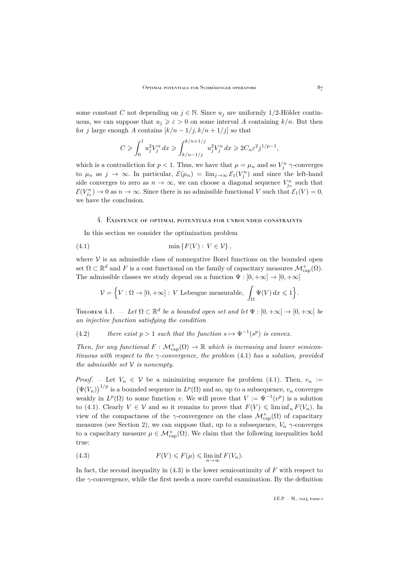<span id="page-17-0"></span>some constant C not depending on  $j \in \mathbb{N}$ . Since  $u_j$  are uniformly 1/2-Hölder continuous, we can suppose that  $u_i \geq \varepsilon > 0$  on some interval A containing  $k/n$ . But then for j large enough A contains  $[k/n-1/j, k/n+1/j]$  so that

$$
C \geq \int_0^1 u_j^2 V_j^n dx \geq \int_{k/n - 1/j}^{k/n + 1/j} u_j^2 V_j^n dx \geq 2C_n \varepsilon^2 j^{1/p - 1},
$$

which is a contradiction for  $p < 1$ . Thus, we have that  $\mu = \mu_n$  and so  $V_j^n$   $\gamma$ -converges to  $\mu_n$  as  $j \to \infty$ . In particular,  $\mathcal{E}(\mu_n) = \lim_{j \to \infty} \mathcal{E}_1(V_j^n)$  and since the left-hand side converges to zero as  $n \to \infty$ , we can choose a diagonal sequence  $V_{j_n}^n$  such that  $\mathcal{E}(V_{j_n}^n) \to 0$  as  $n \to \infty$ . Since there is no admissible functional V such that  $\mathcal{E}_1(V) = 0$ , we have the conclusion.

#### 4. Existence of optimal potentials for unbounded constraints

In this section we consider the optimization problem

$$
(4.1) \qquad \qquad \min\left\{F(V): V \in \mathcal{V}\right\},
$$

where  $V$  is an admissible class of nonnegative Borel functions on the bounded open set  $\Omega \subset \mathbb{R}^d$  and F is a cost functional on the family of capacitary measures  $\mathcal{M}^+_{\text{cap}}(\Omega)$ . The admissible classes we study depend on a function  $\Psi : [0, +\infty] \to [0, +\infty]$ 

$$
\mathcal{V} = \Big\{ V : \Omega \to [0, +\infty] : \, V \text{ Lebesgue measurable, } \int_{\Omega} \Psi(V) \, dx \leqslant 1 \Big\}.
$$

THEOREM 4.1.  $-$  Let  $\Omega \subset \mathbb{R}^d$  be a bounded open set and let  $\Psi : [0, +\infty] \to [0, +\infty]$  be *an injective function satisfying the condition*

(4.2) *there exist*  $p > 1$  *such that the function*  $s \mapsto \Psi^{-1}(s^p)$  *is convex.* 

*Then, for any functional*  $F : \mathcal{M}_{cap}^+(\Omega) \to \mathbb{R}$  which is increasing and lower semicon*tinuous with respect to the* γ*-convergence, the problem* (4.1) *has a solution, provided the admissible set* V *is nonempty.*

*Proof.* — Let  $V_n \in V$  be a minimizing sequence for problem (4.1). Then,  $v_n :=$  $(\Psi(V_n))^{1/p}$  is a bounded sequence in  $L^p(\Omega)$  and so, up to a subsequence,  $v_n$  converges weakly in  $L^p(\Omega)$  to some function v. We will prove that  $V := \Psi^{-1}(v^p)$  is a solution to (4.1). Clearly  $V \in V$  and so it remains to prove that  $F(V) \leq \liminf_{n} F(V_n)$ . In view of the compactness of the  $\gamma$ -convergence on the class  $\mathcal{M}^{\dagger}_{\text{cap}}(\Omega)$  of capacitary measures (see Section [2\)](#page-5-0), we can suppose that, up to a subsequence,  $V_n \gamma$ -converges to a capacitary measure  $\mu \in \mathcal{M}^+_{\text{cap}}(\Omega)$ . We claim that the following inequalities hold true:

(4.3) 
$$
F(V) \leq F(\mu) \leq \liminf_{n \to \infty} F(V_n).
$$

In fact, the second inequality in  $(4.3)$  is the lower semicontinuity of F with respect to the γ-convergence, while the first needs a more careful examination. By the definition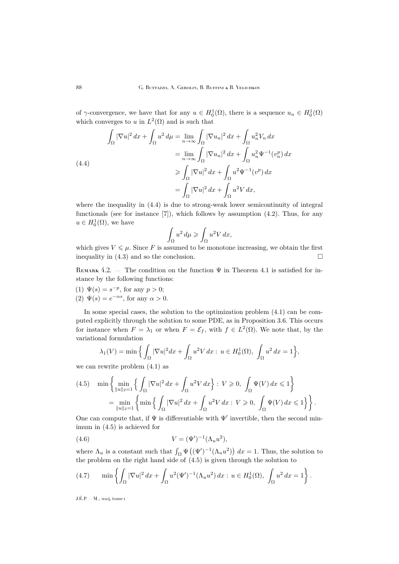<span id="page-18-0"></span>of  $\gamma$ -convergence, we have that for any  $u \in H_0^1(\Omega)$ , there is a sequence  $u_n \in H_0^1(\Omega)$ which converges to u in  $L^2(\Omega)$  and is such that

$$
\int_{\Omega} |\nabla u|^2 dx + \int_{\Omega} u^2 d\mu = \lim_{n \to \infty} \int_{\Omega} |\nabla u_n|^2 dx + \int_{\Omega} u_n^2 V_n dx
$$

$$
= \lim_{n \to \infty} \int_{\Omega} |\nabla u_n|^2 dx + \int_{\Omega} u_n^2 \Psi^{-1}(v_n^p) dx
$$

$$
\geq \int_{\Omega} |\nabla u|^2 dx + \int_{\Omega} u^2 \Psi^{-1}(v^p) dx
$$

$$
= \int_{\Omega} |\nabla u|^2 dx + \int_{\Omega} u^2 V dx,
$$

where the inequality in (4.4) is due to strong-weak lower semicontinuity of integral functionals (see for instance  $[7]$ ), which follows by assumption  $(4.2)$ . Thus, for any  $u \in H_0^1(\Omega)$ , we have

$$
\int_{\Omega} u^2 d\mu \geqslant \int_{\Omega} u^2 V dx,
$$

which gives  $V \leq \mu$ . Since F is assumed to be monotone increasing, we obtain the first inequality in  $(4.3)$  and so the conclusion.

REMARK 4.2. — The condition on the function  $\Psi$  in Theorem [4.1](#page-17-0) is satisfied for instance by the following functions:

(1)  $\Psi(s) = s^{-p}$ , for any  $p > 0$ ; (2)  $\Psi(s) = e^{-\alpha s}$ , for any  $\alpha > 0$ .

In some special cases, the solution to the optimization problem [\(4.1\)](#page-17-0) can be computed explicitly through the solution to some PDE, as in Proposition [3.6.](#page-12-0) This occurs for instance when  $F = \lambda_1$  or when  $F = \mathcal{E}_f$ , with  $f \in L^2(\Omega)$ . We note that, by the variational formulation

$$
\lambda_1(V) = \min\Big\{\int_{\Omega} |\nabla u|^2 dx + \int_{\Omega} u^2 V dx : u \in H_0^1(\Omega), \int_{\Omega} u^2 dx = 1\Big\},\
$$

we can rewrite problem [\(4.1\)](#page-17-0) as

$$
(4.5) \quad \min\left\{\min_{\|u\|_2=1}\left\{\int_{\Omega}|\nabla u|^2\,dx+\int_{\Omega}u^2V\,dx\right\}\colon V\geqslant 0,\,\,\int_{\Omega}\Psi(V)\,dx\leqslant 1\right\}
$$

$$
=\min_{\|u\|_2=1}\left\{\min\left\{\int_{\Omega}|\nabla u|^2\,dx+\int_{\Omega}u^2V\,dx\colon V\geqslant 0,\,\,\int_{\Omega}\Psi(V)\,dx\leqslant 1\right\}\right\}.
$$

One can compute that, if  $\Psi$  is differentiable with  $\Psi'$  invertible, then the second minimum in (4.5) is achieved for

(4.6) 
$$
V = (\Psi')^{-1} (\Lambda_u u^2),
$$

where  $\Lambda_u$  is a constant such that  $\int_{\Omega} \Psi((\Psi')^{-1}(\Lambda_u u^2)) dx = 1$ . Thus, the solution to the problem on the right hand side of (4.5) is given through the solution to

(4.7) 
$$
\min \left\{ \int_{\Omega} |\nabla u|^2 dx + \int_{\Omega} u^2 (\Psi')^{-1} (\Lambda_u u^2) dx : u \in H_0^1(\Omega), \int_{\Omega} u^2 dx = 1 \right\}.
$$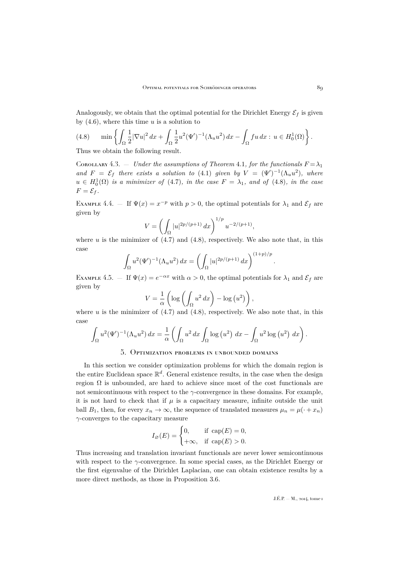<span id="page-19-0"></span>Analogously, we obtain that the optimal potential for the Dirichlet Energy  $\mathcal{E}_f$  is given by  $(4.6)$ , where this time u is a solution to

(4.8) 
$$
\min \left\{ \int_{\Omega} \frac{1}{2} |\nabla u|^2 dx + \int_{\Omega} \frac{1}{2} u^2 (\Psi')^{-1} (\Lambda_u u^2) dx - \int_{\Omega} f u dx : u \in H_0^1(\Omega) \right\}.
$$

Thus we obtain the following result.

COROLLARY 4.3. — *Under the assumptions of Theorem [4.1](#page-17-0), for the functionals*  $F = \lambda_1$ and  $F = \mathcal{E}_f$  there exists a solution to [\(4.1\)](#page-17-0) given by  $V = (\Psi')^{-1}(\Lambda_u u^2)$ , where  $u \in H_0^1(\Omega)$  *is a minimizer of* [\(4.7\)](#page-18-0)*, in the case*  $F = \lambda_1$ *, and of* (4.8)*, in the case*  $F = \mathcal{E}_f$ .

EXAMPLE 4.4. – If  $\Psi(x) = x^{-p}$  with  $p > 0$ , the optimal potentials for  $\lambda_1$  and  $\mathcal{E}_f$  are given by

$$
V = \left(\int_{\Omega} |u|^{2p/(p+1)} dx\right)^{1/p} u^{-2/(p+1)},
$$

where u is the minimizer of  $(4.7)$  and  $(4.8)$ , respectively. We also note that, in this case

$$
\int_{\Omega} u^2 (\Psi')^{-1} (\Lambda_u u^2) \, dx = \left( \int_{\Omega} |u|^{2p/(p+1)} \, dx \right)^{(1+p)/p}
$$

EXAMPLE 4.5. – If  $\Psi(x) = e^{-\alpha x}$  with  $\alpha > 0$ , the optimal potentials for  $\lambda_1$  and  $\mathcal{E}_f$  are given by

$$
V = \frac{1}{\alpha} \left( \log \left( \int_{\Omega} u^2 dx \right) - \log (u^2) \right),
$$

where u is the minimizer of  $(4.7)$  and  $(4.8)$ , respectively. We also note that, in this case

$$
\int_{\Omega} u^2 (\Psi')^{-1} (\Lambda_u u^2) dx = \frac{1}{\alpha} \left( \int_{\Omega} u^2 dx \int_{\Omega} \log (u^2) dx - \int_{\Omega} u^2 \log (u^2) dx \right).
$$

### 5. Optimization problems in unbounded domains

In this section we consider optimization problems for which the domain region is the entire Euclidean space  $\mathbb{R}^d$ . General existence results, in the case when the design region  $\Omega$  is unbounded, are hard to achieve since most of the cost functionals are not semicontinuous with respect to the  $\gamma$ -convergence in these domains. For example, it is not hard to check that if  $\mu$  is a capacitary measure, infinite outside the unit ball  $B_1$ , then, for every  $x_n \to \infty$ , the sequence of translated measures  $\mu_n = \mu(\cdot + x_n)$  $\gamma$ -converges to the capacitary measure

$$
I_{\varnothing}(E) = \begin{cases} 0, & \text{if } \operatorname{cap}(E) = 0, \\ +\infty, & \text{if } \operatorname{cap}(E) > 0. \end{cases}
$$

Thus increasing and translation invariant functionals are never lower semicontinuous with respect to the  $\gamma$ -convergence. In some special cases, as the Dirichlet Energy or the first eigenvalue of the Dirichlet Laplacian, one can obtain existence results by a more direct methods, as those in Proposition [3.6.](#page-12-0)

.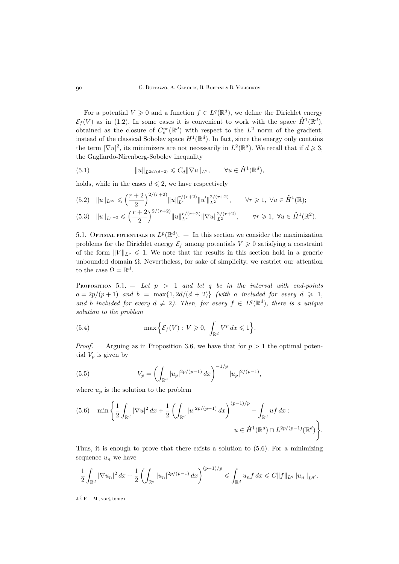For a potential  $V \ge 0$  and a function  $f \in L^q(\mathbb{R}^d)$ , we define the Dirichlet energy  $\mathcal{E}_f(V)$  as in [\(1.2\)](#page-2-0). In some cases it is convenient to work with the space  $\dot{H}^1(\mathbb{R}^d)$ , obtained as the closure of  $C_c^{\infty}(\mathbb{R}^d)$  with respect to the  $L^2$  norm of the gradient, instead of the classical Sobolev space  $H^1(\mathbb{R}^d)$ . In fact, since the energy only contains the term  $|\nabla u|^2$ , its minimizers are not necessarily in  $L^2(\mathbb{R}^d)$ . We recall that if  $d \geqslant 3$ , the Gagliardo-Nirenberg-Sobolev inequality

(5.1) 
$$
||u||_{L^{2d/(d-2)}} \leq C_d ||\nabla u||_{L^2}, \qquad \forall u \in \dot{H}^1(\mathbb{R}^d),
$$

holds, while in the cases  $d \leq 2$ , we have respectively

$$
(5.2) \quad \|u\|_{L^{\infty}} \leqslant \left(\frac{r+2}{2}\right)^{2/(r+2)} \|u\|_{L^r}^{r/(r+2)} \|u'\|_{L^2}^{2/(r+2)}, \qquad \forall r \geqslant 1, \ \forall u \in \dot{H}^1(\mathbb{R});
$$
\n
$$
(5.3) \quad \|u\|_{L^{r+2}} \leqslant \left(\frac{r+2}{2}\right)^{2/(r+2)} \|u\|_{L^r}^{r/(r+2)} \|\nabla u\|_{L^2}^{2/(r+2)} \qquad \forall r > 1, \ \forall u \in \dot{H}^1(\mathbb{R}^2).
$$

$$
(5.3) \quad \|u\|_{L^{r+2}} \leqslant \left(\frac{r+2}{2}\right)^{2/(r+2)} \|u\|_{L^r}^{r/(r+2)} \|\nabla u\|_{L^2}^{2/(r+2)}, \qquad \forall r \geqslant 1, \ \forall u \in \dot{H}^1(\mathbb{R}^2).
$$

5.1. OPTIMAL POTENTIALS IN  $L^p(\mathbb{R}^d)$ .  $\qquad$  In this section we consider the maximization problems for the Dirichlet energy  $\mathcal{E}_f$  among potentials  $V \geq 0$  satisfying a constraint of the form  $||V||_{L^p} \le 1$ . We note that the results in this section hold in a generic unbounded domain  $\Omega$ . Nevertheless, for sake of simplicity, we restrict our attention to the case  $\Omega = \mathbb{R}^d$ .

Proposition 5.1. — *Let* p > 1 *and let* q *be in the interval with end-points*  $a = 2p/(p+1)$  and  $b = \max\{1, 2d/(d+2)\}$  *(with a included for every*  $d \ge 1$ *,* and *b* included for every  $d \neq 2$ ). Then, for every  $f \in L^q(\mathbb{R}^d)$ , there is a unique *solution to the problem*

(5.4) 
$$
\max \left\{ \mathcal{E}_f(V) : V \geq 0, \int_{\mathbb{R}^d} V^p dx \leq 1 \right\}.
$$

*Proof.* — Arguing as in Proposition [3.6,](#page-12-0) we have that for  $p > 1$  the optimal potential  $V_p$  is given by

(5.5) 
$$
V_p = \left(\int_{\mathbb{R}^d} |u_p|^{2p/(p-1)} dx\right)^{-1/p} |u_p|^{2/(p-1)},
$$

where  $u_p$  is the solution to the problem

$$
(5.6) \quad \min\left\{\frac{1}{2}\int_{\mathbb{R}^d}|\nabla u|^2\,dx+\frac{1}{2}\left(\int_{\mathbb{R}^d}|u|^{2p/(p-1)}\,dx\right)^{(p-1)/p}-\int_{\mathbb{R}^d}uf\,dx:\right.\\
u\in \dot{H}^1(\mathbb{R}^d)\cap L^{2p/(p-1)}(\mathbb{R}^d)\right\}.
$$

Thus, it is enough to prove that there exists a solution to (5.6). For a minimizing sequence  $u_n$  we have

$$
\frac{1}{2}\int_{\mathbb{R}^d}|\nabla u_n|^2\,dx+\frac{1}{2}\left(\int_{\mathbb{R}^d}|u_n|^{2p/(p-1)}\,dx\right)^{(p-1)/p}\leqslant\int_{\mathbb{R}^d}u_nf\,dx\leqslant C\|f\|_{L^q}\|u_n\|_{L^{q'}}.
$$

<span id="page-20-0"></span>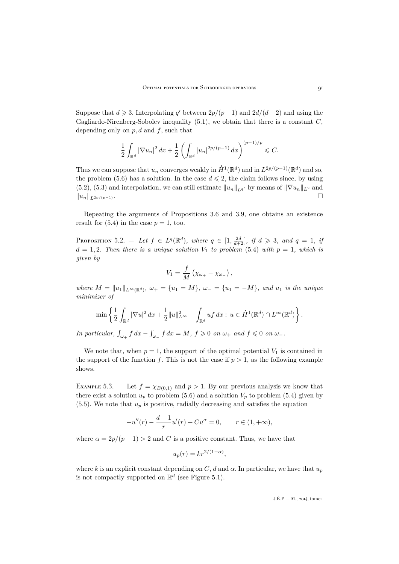<span id="page-21-0"></span>Suppose that  $d \ge 3$ . Interpolating q' between  $2p/(p-1)$  and  $2d/(d-2)$  and using the Gagliardo-Nirenberg-Sobolev inequality  $(5.1)$ , we obtain that there is a constant  $C$ , depending only on  $p, d$  and  $f$ , such that

$$
\frac{1}{2} \int_{\mathbb{R}^d} |\nabla u_n|^2 \, dx + \frac{1}{2} \left( \int_{\mathbb{R}^d} |u_n|^{2p/(p-1)} \, dx \right)^{(p-1)/p} \leqslant C.
$$

Thus we can suppose that  $u_n$  converges weakly in  $\dot{H}^1(\mathbb{R}^d)$  and in  $L^{2p/(p-1)}(\mathbb{R}^d)$  and so, the problem [\(5.6\)](#page-20-0) has a solution. In the case  $d \leq 2$ , the claim follows since, by using [\(5.2\)](#page-20-0), [\(5.3\)](#page-20-0) and interpolation, we can still estimate  $||u_n||_{L_q}$  by means of  $||\nabla u_n||_{L^2}$  and  $||u_n||_{L^{2p/(p-1)}}$ .

Repeating the arguments of Propositions [3.6](#page-12-0) and [3.9,](#page-14-0) one obtains an existence result for  $(5.4)$  in the case  $p = 1$ , too.

**PROPOSITION** 5.2.  $-$  Let  $f \in L^{q}(\mathbb{R}^{d})$ , where  $q \in [1, \frac{2d}{d+2}]$ , if  $d \geq 3$ , and  $q = 1$ , if  $d = 1, 2$ *. Then there is a unique solution*  $V_1$  *to problem* [\(5.4\)](#page-20-0) *with*  $p = 1$ *, which is given by*

$$
V_1 = \frac{f}{M} \left( \chi_{\omega_+} - \chi_{\omega_-} \right),
$$

 $where M = ||u_1||_{L^{\infty}(\mathbb{R}^d)}, \omega_+ = \{u_1 = M\}, \omega_- = \{u_1 = -M\}, and u_1 is the unique$ *minimizer of*

$$
\min \left\{ \frac{1}{2} \int_{\mathbb{R}^d} |\nabla u|^2 \, dx + \frac{1}{2} \|u\|_{L^\infty}^2 - \int_{\mathbb{R}^d} u f \, dx : u \in \dot{H}^1(\mathbb{R}^d) \cap L^\infty(\mathbb{R}^d) \right\}.
$$

*In particular,*  $\int_{\omega_+} f \, dx - \int_{\omega_-} f \, dx = M$ ,  $f \geqslant 0$  *on*  $\omega_+$  *and*  $f \leqslant 0$  *on*  $\omega_-$ *.* 

We note that, when  $p = 1$ , the support of the optimal potential  $V_1$  is contained in the support of the function f. This is not the case if  $p > 1$ , as the following example shows.

EXAMPLE 5.3. — Let  $f = \chi_{B(0,1)}$  and  $p > 1$ . By our previous analysis we know that there exist a solution  $u_p$  to problem [\(5.6\)](#page-20-0) and a solution  $V_p$  to problem [\(5.4\)](#page-20-0) given by [\(5.5\)](#page-20-0). We note that  $u_p$  is positive, radially decreasing and satisfies the equation

$$
-u''(r) - \frac{d-1}{r}u'(r) + Cu^{\alpha} = 0, \qquad r \in (1, +\infty),
$$

where  $\alpha = 2p/(p-1) > 2$  and C is a positive constant. Thus, we have that

$$
u_p(r) = kr^{2/(1-\alpha)},
$$

where k is an explicit constant depending on C, d and  $\alpha$ . In particular, we have that  $u_p$ is not compactly supported on  $\mathbb{R}^d$  (see Figure [5.1\)](#page-22-0).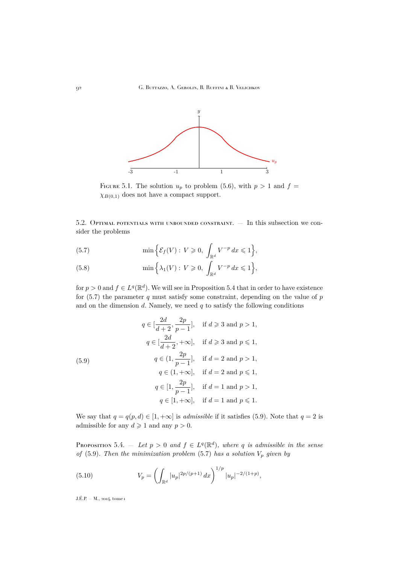<span id="page-22-0"></span>

FIGURE 5.1. The solution  $u_p$  to problem [\(5.6\)](#page-20-0), with  $p > 1$  and  $f =$  $\chi_{B(0,1)}$  does not have a compact support.

5.2. Optimal potentials with unbounded constraint. — In this subsection we consider the problems

(5.7) 
$$
\min\left\{\mathcal{E}_f(V): V \geqslant 0, \int_{\mathbb{R}^d} V^{-p} dx \leqslant 1\right\},\
$$

(5.8) 
$$
\min \Big\{ \lambda_1(V) : V \geq 0, \int_{\mathbb{R}^d} V^{-p} dx \leq 1 \Big\},\
$$

for  $p > 0$  and  $f \in L^q(\mathbb{R}^d)$ . We will see in Proposition 5.4 that in order to have existence for  $(5.7)$  the parameter q must satisfy some constraint, depending on the value of p and on the dimension  $d$ . Namely, we need  $q$  to satisfy the following conditions

(5.9)  
\n
$$
q \in \left[\frac{2d}{d+2}, \frac{2p}{p-1}\right], \text{ if } d \geqslant 3 \text{ and } p > 1,
$$
\n
$$
q \in \left[\frac{2d}{d+2}, +\infty\right], \text{ if } d \geqslant 3 \text{ and } p \leqslant 1,
$$
\n
$$
q \in \left(1, \frac{2p}{p-1}\right], \text{ if } d = 2 \text{ and } p > 1,
$$
\n
$$
q \in \left(1, +\infty\right], \text{ if } d = 2 \text{ and } p \leqslant 1,
$$
\n
$$
q \in \left[1, \frac{2p}{p-1}\right], \text{ if } d = 1 \text{ and } p > 1,
$$
\n
$$
q \in \left[1, +\infty\right], \text{ if } d = 1 \text{ and } p \leqslant 1.
$$

We say that  $q = q(p, d) \in [1, +\infty]$  is *admissible* if it satisfies (5.9). Note that  $q = 2$  is admissible for any  $d \geq 1$  and any  $p > 0$ .

PROPOSITION 5.4.  $-$  *Let*  $p > 0$  *and*  $f \in L^q(\mathbb{R}^d)$ , where q *is admissible in the sense of* (5.9). Then the minimization problem (5.7) has a solution  $V_p$  given by

(5.10) 
$$
V_p = \left(\int_{\mathbb{R}^d} |u_p|^{2p/(p+1)} dx\right)^{1/p} |u_p|^{-2/(1+p)},
$$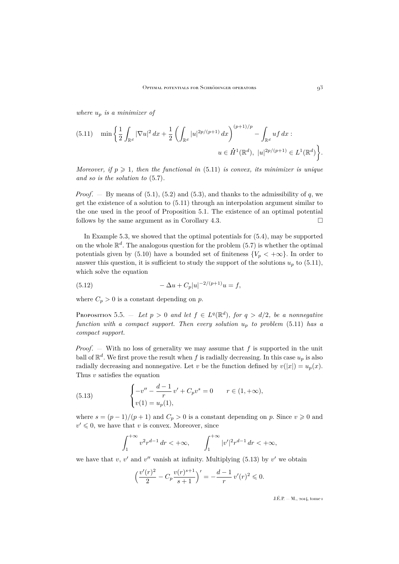<span id="page-23-0"></span>*where* u<sup>p</sup> *is a minimizer of*

$$
(5.11) \quad \min\bigg\{\frac{1}{2}\int_{\mathbb{R}^d}|\nabla u|^2\,dx+\frac{1}{2}\left(\int_{\mathbb{R}^d}|u|^{2p/(p+1)}\,dx\right)^{(p+1)/p}-\int_{\mathbb{R}^d}uf\,dx:\right.\\
u\in \dot{H}^1(\mathbb{R}^d),\ |u|^{2p/(p+1)}\in L^1(\mathbb{R}^d)\bigg\}.
$$

*Moreover, if*  $p \geq 1$ *, then the functional in* (5.11) *is convex, its minimizer is unique and so is the solution to* [\(5.7\)](#page-22-0)*.*

*Proof.*  $\blacksquare$  By means of [\(5.1\)](#page-20-0), [\(5.2\)](#page-20-0) and [\(5.3\)](#page-20-0), and thanks to the admissibility of q, we get the existence of a solution to (5.11) through an interpolation argument similar to the one used in the proof of Proposition [5.1.](#page-20-0) The existence of an optimal potential follows by the same argument as in Corollary [4.3.](#page-19-0)  $\square$ 

In Example [5.3,](#page-21-0) we showed that the optimal potentials for [\(5.4\)](#page-20-0), may be supported on the whole  $\mathbb{R}^d$ . The analogous question for the problem  $(5.7)$  is whether the optimal potentials given by [\(5.10\)](#page-22-0) have a bounded set of finiteness  $\{V_p < +\infty\}$ . In order to answer this question, it is sufficient to study the support of the solutions  $u_p$  to (5.11), which solve the equation

(5.12) 
$$
-\Delta u + C_p|u|^{-2/(p+1)}u = f,
$$

where  $C_p > 0$  is a constant depending on p.

PROPOSITION 5.5.  $-$  *Let*  $p > 0$  *and let*  $f \in L^q(\mathbb{R}^d)$ *, for*  $q > d/2$ *, be a nonnegative function with a compact support. Then every solution*  $u_p$  *to problem* (5.11) *has a compact support.*

*Proof.* — With no loss of generality we may assume that f is supported in the unit ball of  $\mathbb{R}^d$ . We first prove the result when f is radially decreasing. In this case  $u_p$  is also radially decreasing and nonnegative. Let v be the function defined by  $v(|x|) = u_p(x)$ . Thus  $v$  satisfies the equation

(5.13) 
$$
\begin{cases} -v'' - \frac{d-1}{r}v' + C_p v^s = 0 & r \in (1, +\infty), \\ v(1) = u_p(1), \end{cases}
$$

where  $s = (p-1)/(p+1)$  and  $C_p > 0$  is a constant depending on p. Since  $v \ge 0$  and  $v' \leq 0$ , we have that v is convex. Moreover, since

$$
\int_{1}^{+\infty} v^2 r^{d-1} dr < +\infty, \qquad \int_{1}^{+\infty} |v'|^2 r^{d-1} dr < +\infty,
$$

we have that  $v, v'$  and  $v''$  vanish at infinity. Multiplying (5.13) by  $v'$  we obtain

$$
\left(\frac{v'(r)^2}{2} - C_p \frac{v(r)^{s+1}}{s+1}\right)' = -\frac{d-1}{r}v'(r)^2 \leq 0.
$$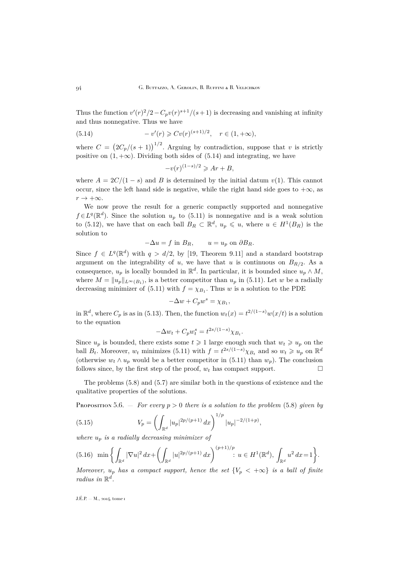<span id="page-24-0"></span>Thus the function  $v'(r)^2/2 - C_p v(r)^{s+1}/(s+1)$  is decreasing and vanishing at infinity and thus nonnegative. Thus we have

(5.14) 
$$
-v'(r) \geqslant Cv(r)^{(s+1)/2}, \quad r \in (1, +\infty),
$$

where  $C = (2C_p/(s+1))^{1/2}$ . Arguing by contradiction, suppose that v is strictly positive on  $(1, +\infty)$ . Dividing both sides of (5.14) and integrating, we have

$$
-v(r)^{(1-s)/2} \geqslant Ar + B,
$$

where  $A = 2C/(1-s)$  and B is determined by the initial datum  $v(1)$ . This cannot occur, since the left hand side is negative, while the right hand side goes to  $+\infty$ , as  $r \to +\infty$ .

We now prove the result for a generic compactly supported and nonnegative  $f \in L^{q}(\mathbb{R}^{d})$ . Since the solution  $u_{p}$  to [\(5.11\)](#page-23-0) is nonnegative and is a weak solution to [\(5.12\)](#page-23-0), we have that on each ball  $B_R \subset \mathbb{R}^d$ ,  $u_p \leq u$ , where  $u \in H^1(B_R)$  is the solution to

$$
-\Delta u = f \text{ in } B_R, \qquad u = u_p \text{ on } \partial B_R.
$$

Since  $f \in L^q(\mathbb{R}^d)$  with  $q > d/2$ , by [\[19,](#page-30-0) Theorem 9.11] and a standard bootstrap argument on the integrability of u, we have that u is continuous on  $B_{R/2}$ . As a consequence,  $u_p$  is locally bounded in  $\mathbb{R}^d$ . In particular, it is bounded since  $u_p \wedge M$ , where  $M = ||u_p||_{L^{\infty}(B_1)}$ , is a better competitor than  $u_p$  in [\(5.11\)](#page-23-0). Let w be a radially decreasing minimizer of [\(5.11\)](#page-23-0) with  $f = \chi_{B_1}$ . Thus w is a solution to the PDE

$$
-\Delta w + C_p w^s = \chi_{B_1},
$$

in  $\mathbb{R}^d$ , where  $C_p$  is as in [\(5.13\)](#page-23-0). Then, the function  $w_t(x) = t^{2/(1-s)}w(x/t)$  is a solution to the equation

$$
-\Delta w_t + C_p w_t^s = t^{2s/(1-s)} \chi_{B_t}.
$$

Since  $u_p$  is bounded, there exists some  $t \geq 1$  large enough such that  $w_t \geq u_p$  on the ball  $B_t$ . Moreover,  $w_t$  minimizes [\(5.11\)](#page-23-0) with  $f = t^{2s/(1-s)} \chi_{B_t}$  and so  $w_t \geq u_p$  on  $\mathbb{R}^d$ (otherwise  $w_t \wedge u_p$  would be a better competitor in [\(5.11\)](#page-23-0) than  $w_p$ ). The conclusion follows since, by the first step of the proof,  $w_t$  has compact support.

The problems [\(5.8\)](#page-22-0) and [\(5.7\)](#page-22-0) are similar both in the questions of existence and the qualitative properties of the solutions.

Proposition 5.6.  $-$  *For every*  $p > 0$  *there is a solution to the problem* [\(5.8\)](#page-22-0) *given by* 

(5.15) 
$$
V_p = \left(\int_{\mathbb{R}^d} |u_p|^{2p/(p+1)} dx\right)^{1/p} |u_p|^{-2/(1+p)},
$$

*where*  $u_n$  *is a radially decreasing minimizer of* 

$$
(5.16)\ \ \min\bigg\{\int_{\mathbb{R}^d}|\nabla u|^2\,dx+\bigg(\int_{\mathbb{R}^d}|u|^{2p/(p+1)}\,dx\bigg)^{(p+1)/p}\colon u\in H^1(\mathbb{R}^d),\,\int_{\mathbb{R}^d}u^2\,dx=1\bigg\}.
$$

*Moreover,*  $u_p$  *has a compact support, hence the set*  ${V_p < +\infty}$  *is a ball of finite radius in*  $\mathbb{R}^d$ .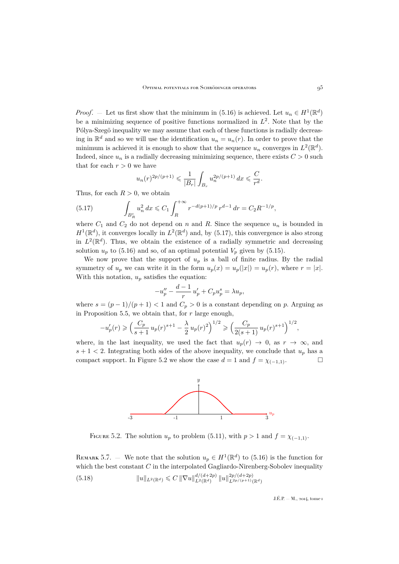<span id="page-25-0"></span>*Proof.* – Let us first show that the minimum in [\(5.16\)](#page-24-0) is achieved. Let  $u_n \in H^1(\mathbb{R}^d)$ be a minimizing sequence of positive functions normalized in  $L^2$ . Note that by the Pólya-Szegö inequality we may assume that each of these functions is radially decreasing in  $\mathbb{R}^d$  and so we will use the identification  $u_n = u_n(r)$ . In order to prove that the minimum is achieved it is enough to show that the sequence  $u_n$  converges in  $L^2(\mathbb{R}^d)$ . Indeed, since  $u_n$  is a radially decreasing minimizing sequence, there exists  $C > 0$  such that for each  $r > 0$  we have

$$
u_n(r)^{2p/(p+1)} \leq \frac{1}{|B_r|} \int_{B_r} u_n^{2p/(p+1)} dx \leq \frac{C}{r^d}.
$$

Thus, for each  $R > 0$ , we obtain

(5.17) 
$$
\int_{B_R^c} u_n^2 dx \leqslant C_1 \int_R^{+\infty} r^{-d(p+1)/p} r^{d-1} dr = C_2 R^{-1/p},
$$

where  $C_1$  and  $C_2$  do not depend on n and R. Since the sequence  $u_n$  is bounded in  $H^1(\mathbb{R}^d)$ , it converges locally in  $L^2(\mathbb{R}^d)$  and, by (5.17), this convergence is also strong in  $L^2(\mathbb{R}^d)$ . Thus, we obtain the existence of a radially symmetric and decreasing solution  $u_p$  to [\(5.16\)](#page-24-0) and so, of an optimal potential  $V_p$  given by [\(5.15\)](#page-24-0).

We now prove that the support of  $u_p$  is a ball of finite radius. By the radial symmetry of  $u_p$  we can write it in the form  $u_p(x) = u_p(|x|) = u_p(r)$ , where  $r = |x|$ . With this notation,  $u_p$  satisfies the equation:

$$
-u''_p - \frac{d-1}{r}u'_p + C_p u^s_p = \lambda u_p,
$$

where  $s = (p-1)/(p+1) < 1$  and  $C_p > 0$  is a constant depending on p. Arguing as in Proposition [5.5,](#page-23-0) we obtain that, for  $r$  large enough,

$$
-u'_p(r) \geqslant \left(\frac{C_p}{s+1} u_p(r)^{s+1} - \frac{\lambda}{2} u_p(r)^2\right)^{1/2} \geqslant \left(\frac{C_p}{2(s+1)} u_p(r)^{s+1}\right)^{1/2},
$$

where, in the last inequality, we used the fact that  $u_p(r) \rightarrow 0$ , as  $r \rightarrow \infty$ , and  $s + 1 < 2$ . Integrating both sides of the above inequality, we conclude that  $u_p$  has a compact support. In Figure 5.2 we show the case  $d = 1$  and  $f = \chi_{(-1,1)}$ .



FIGURE 5.2. The solution  $u_p$  to problem [\(5.11\)](#page-23-0), with  $p > 1$  and  $f = \chi_{(-1,1)}$ .

REMARK 5.7. — We note that the solution  $u_p \in H^1(\mathbb{R}^d)$  to [\(5.16\)](#page-24-0) is the function for which the best constant  $C$  in the interpolated Gagliardo-Nirenberg-Sobolev inequality (5.18)  $\|u\|_{L^2(\mathbb{R}^d)} \leqslant C \|\nabla u\|_{L^2(\mathbb{R}^d)}^{d/(d+2p)} \|u\|_{L^{2p/(p+1)}(\mathbb{R}^d)}^{2p/(d+2p)}$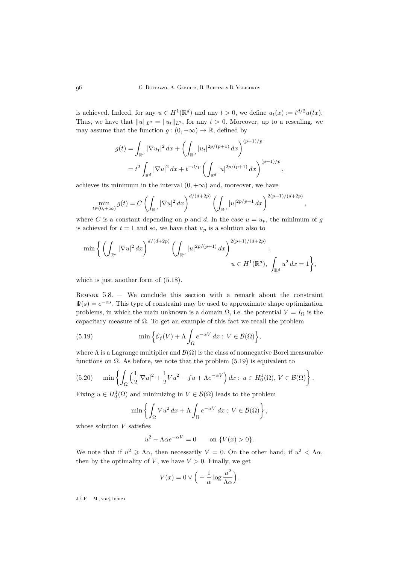<span id="page-26-0"></span>is achieved. Indeed, for any  $u \in H^1(\mathbb{R}^d)$  and any  $t > 0$ , we define  $u_t(x) := t^{d/2}u(tx)$ . Thus, we have that  $||u||_{L^2} = ||u_t||_{L^2}$ , for any  $t > 0$ . Moreover, up to a rescaling, we may assume that the function  $g : (0, +\infty) \to \mathbb{R}$ , defined by

$$
g(t) = \int_{\mathbb{R}^d} |\nabla u_t|^2 dx + \left( \int_{\mathbb{R}^d} |u_t|^{2p/(p+1)} dx \right)^{(p+1)/p}
$$
  
=  $t^2 \int_{\mathbb{R}^d} |\nabla u|^2 dx + t^{-d/p} \left( \int_{\mathbb{R}^d} |u|^{2p/(p+1)} dx \right)^{(p+1)/p},$ 

achieves its minimum in the interval  $(0, +\infty)$  and, moreover, we have

$$
\min_{t \in (0, +\infty)} g(t) = C \left( \int_{\mathbb{R}^d} |\nabla u|^2 dx \right)^{d/(d+2p)} \left( \int_{\mathbb{R}^d} |u|^{2p/p+1} dx \right)^{2(p+1)/(d+2p)}
$$

,

where C is a constant depending on p and d. In the case  $u = u_p$ , the minimum of g is achieved for  $t = 1$  and so, we have that  $u_p$  is a solution also to

$$
\min \bigg\{ \left( \int_{\mathbb{R}^d} |\nabla u|^2 \, dx \right)^{d/(d+2p)} \left( \int_{\mathbb{R}^d} |u|^{2p/(p+1)} \, dx \right)^{2(p+1)/(d+2p)} : \\ u \in H^1(\mathbb{R}^d), \int_{\mathbb{R}^d} u^2 \, dx = 1 \bigg\},
$$

which is just another form of  $(5.18)$ .

Remark 5.8. — We conclude this section with a remark about the constraint  $\Psi(s) = e^{-\alpha s}$ . This type of constraint may be used to approximate shape optimization problems, in which the main unknown is a domain  $\Omega$ , i.e. the potential  $V = I_{\Omega}$  is the capacitary measure of  $\Omega$ . To get an example of this fact we recall the problem

(5.19) 
$$
\min \Big\{ \mathcal{E}_f(V) + \Lambda \int_{\Omega} e^{-\alpha V} dx : V \in \mathcal{B}(\Omega) \Big\},
$$

where  $\Lambda$  is a Lagrange multiplier and  $\mathcal{B}(\Omega)$  is the class of nonnegative Borel measurable functions on  $\Omega$ . As before, we note that the problem (5.19) is equivalent to

(5.20) 
$$
\min\left\{\int_{\Omega}\left(\frac{1}{2}|\nabla u|^2+\frac{1}{2}Vu^2-f u+\Lambda e^{-\alpha V}\right)dx:\,u\in H_0^1(\Omega),\,V\in\mathcal{B}(\Omega)\right\}.
$$

Fixing  $u \in H_0^1(\Omega)$  and minimizing in  $V \in \mathcal{B}(\Omega)$  leads to the problem

$$
\min\left\{\int_{\Omega} V u^2 dx + \Lambda \int_{\Omega} e^{-\alpha V} dx : V \in \mathcal{B}(\Omega)\right\},\
$$

whose solution  $V$  satisfies

$$
u^2 - \Lambda \alpha e^{-\alpha V} = 0 \qquad \text{on } \{V(x) > 0\}.
$$

We note that if  $u^2 \geq \Lambda \alpha$ , then necessarily  $V = 0$ . On the other hand, if  $u^2 < \Lambda \alpha$ , then by the optimality of  $V$ , we have  $V > 0$ . Finally, we get

$$
V(x) = 0 \vee \left( -\frac{1}{\alpha} \log \frac{u^2}{\Lambda \alpha} \right).
$$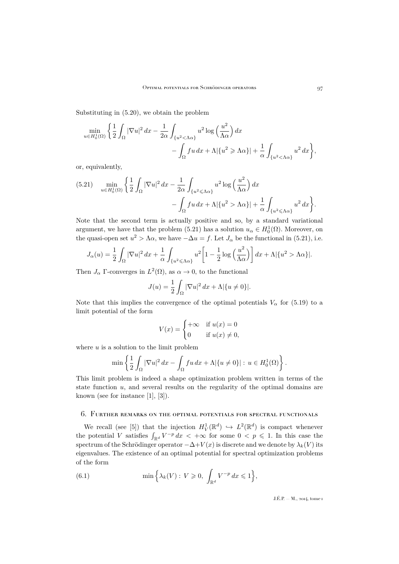<span id="page-27-0"></span>Substituting in [\(5.20\)](#page-26-0), we obtain the problem

$$
\min_{u \in H_0^1(\Omega)} \left\{ \frac{1}{2} \int_{\Omega} |\nabla u|^2 dx - \frac{1}{2\alpha} \int_{\{u^2 < \Lambda \alpha\}} u^2 \log \left(\frac{u^2}{\Lambda \alpha}\right) dx - \int_{\Omega} fu \, dx + \Lambda |\{u^2 \ge \Lambda \alpha\}| + \frac{1}{\alpha} \int_{\{u^2 < \Lambda \alpha\}} u^2 \, dx \right\},\
$$

or, equivalently,

$$
(5.21) \quad \min_{u \in H_0^1(\Omega)} \left\{ \frac{1}{2} \int_{\Omega} |\nabla u|^2 \, dx - \frac{1}{2\alpha} \int_{\{u^2 \le \Lambda \alpha\}} u^2 \log \left(\frac{u^2}{\Lambda \alpha}\right) dx - \int_{\Omega} fu \, dx + \Lambda |\{u^2 > \Lambda \alpha\}| + \frac{1}{\alpha} \int_{\{u^2 \le \Lambda \alpha\}} u^2 \, dx \right\}.
$$

Note that the second term is actually positive and so, by a standard variational argument, we have that the problem (5.21) has a solution  $u_{\alpha} \in H_0^1(\Omega)$ . Moreover, on the quasi-open set  $u^2 > \Lambda \alpha$ , we have  $-\Delta u = f$ . Let  $J_\alpha$  be the functional in (5.21), i.e.

$$
J_{\alpha}(u) = \frac{1}{2} \int_{\Omega} |\nabla u|^2 dx + \frac{1}{\alpha} \int_{\{u^2 \le \Lambda \alpha\}} u^2 \left[1 - \frac{1}{2} \log \left(\frac{u^2}{\Lambda \alpha}\right)\right] dx + \Lambda |\{u^2 > \Lambda \alpha\}|.
$$

Then  $J_{\alpha}$  Γ-converges in  $L^2(\Omega)$ , as  $\alpha \to 0$ , to the functional

$$
J(u) = \frac{1}{2} \int_{\Omega} |\nabla u|^2 dx + \Lambda |\{u \neq 0\}|.
$$

Note that this implies the convergence of the optimal potentials  $V_{\alpha}$  for [\(5.19\)](#page-26-0) to a limit potential of the form

$$
V(x) = \begin{cases} +\infty & \text{if } u(x) = 0\\ 0 & \text{if } u(x) \neq 0, \end{cases}
$$

where  $u$  is a solution to the limit problem

$$
\min\left\{\frac{1}{2}\int_{\Omega}|\nabla u|^2\,dx-\int_{\Omega}fu\,dx+\Lambda|\{u\neq 0\}|\,\colon\,u\in H_0^1(\Omega)\right\}.
$$

This limit problem is indeed a shape optimization problem written in terms of the state function  $u$ , and several results on the regularity of the optimal domains are known (see for instance [\[1\]](#page-29-0), [\[3\]](#page-29-0)).

#### 6. Further remarks on the optimal potentials for spectral functionals

We recall (see [\[5\]](#page-29-0)) that the injection  $H_V^1(\mathbb{R}^d) \hookrightarrow L^2(\mathbb{R}^d)$  is compact whenever the potential V satisfies  $\int_{\mathbb{R}^d} V^{-p} dx < +\infty$  for some  $0 < p \leq 1$ . In this case the spectrum of the Schrödinger operator  $-\Delta+V(x)$  is discrete and we denote by  $\lambda_k(V)$  its eigenvalues. The existence of an optimal potential for spectral optimization problems of the form

(6.1) 
$$
\min\Big\{\lambda_k(V): V\geqslant 0, \int_{\mathbb{R}^d} V^{-p} dx\leqslant 1\Big\},\
$$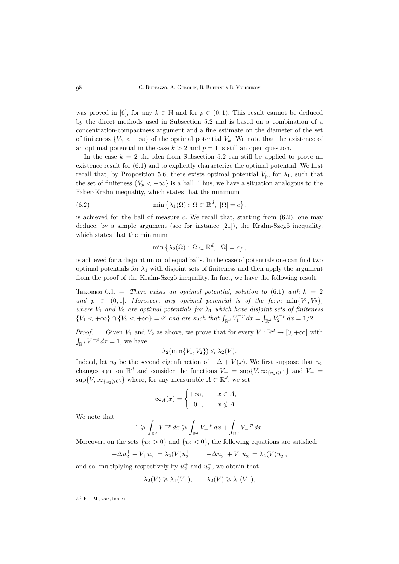<span id="page-28-0"></span>was proved in [\[6\]](#page-29-0), for any  $k \in \mathbb{N}$  and for  $p \in (0, 1)$ . This result cannot be deduced by the direct methods used in Subsection [5.2](#page-22-0) and is based on a combination of a concentration-compactness argument and a fine estimate on the diameter of the set of finiteness  ${V_k < +\infty}$  of the optimal potential  $V_k$ . We note that the existence of an optimal potential in the case  $k > 2$  and  $p = 1$  is still an open question.

In the case  $k = 2$  the idea from Subsection [5.2](#page-22-0) can still be applied to prove an existence result for [\(6.1\)](#page-27-0) and to explicitly characterize the optimal potential. We first recall that, by Proposition [5.6,](#page-24-0) there exists optimal potential  $V_p$ , for  $\lambda_1$ , such that the set of finiteness  ${V_p < +\infty}$  is a ball. Thus, we have a situation analogous to the Faber-Krahn inequality, which states that the minimum

(6.2) 
$$
\min\left\{\lambda_1(\Omega): \Omega \subset \mathbb{R}^d, |\Omega| = c\right\},\
$$

is achieved for the ball of measure  $c$ . We recall that, starting from  $(6.2)$ , one may deduce, by a simple argument (see for instance [\[21\]](#page-30-0)), the Krahn-Szegö inequality, which states that the minimum

$$
\min\left\{\lambda_2(\Omega): \Omega \subset \mathbb{R}^d, \ |\Omega| = c\right\},\
$$

is achieved for a disjoint union of equal balls. In the case of potentials one can find two optimal potentials for  $\lambda_1$  with disjoint sets of finiteness and then apply the argument from the proof of the Krahn-Szegö inequality. In fact, we have the following result.

**THEOREM** 6.1.  $-$  *There exists an optimal potential, solution to* [\(6.1\)](#page-27-0) *with*  $k = 2$ *and*  $p \in (0,1]$ *. Moreover, any optimal potential is of the form*  $\min\{V_1, V_2\}$ *, where*  $V_1$  *and*  $V_2$  *are optimal potentials for*  $\lambda_1$  *which have disjoint sets of finiteness*  $\{V_1 < +\infty\} \cap \{V_2 < +\infty\} = \varnothing$  and are such that  $\int_{\mathbb{R}^d} V_1^{-p} dx = \int_{\mathbb{R}^d} V_2^{-p} dx = 1/2$ .

*Proof.* – Given  $V_1$  and  $V_2$  as above, we prove that for every  $V : \mathbb{R}^d \to [0, +\infty]$  with  $\int_{\mathbb{R}^d} V^{-p} dx = 1$ , we have

$$
\lambda_2(\min\{V_1, V_2\}) \le \lambda_2(V).
$$

Indeed, let  $u_2$  be the second eigenfunction of  $-\Delta + V(x)$ . We first suppose that  $u_2$ changes sign on  $\mathbb{R}^d$  and consider the functions  $V_+ = \sup\{V, \infty_{\{u_2 \leq 0\}}\}$  and  $V_- =$  $\sup\{V, \infty_{\{u_2\geq 0\}}\}$  where, for any measurable  $A \subset \mathbb{R}^d$ , we set

$$
\infty_A(x) = \begin{cases} +\infty, & x \in A, \\ 0, & x \notin A. \end{cases}
$$

We note that

$$
1\geqslant \int_{\mathbb{R}^d}V^{-p}\,dx\geqslant \int_{\mathbb{R}^d}V_+^{-p}\,dx+\int_{\mathbb{R}^d}V_-^{-p}\,dx.
$$

Moreover, on the sets  $\{u_2 > 0\}$  and  $\{u_2 < 0\}$ , the following equations are satisfied:

$$
-\Delta u_2^+ + V_+ u_2^+ = \lambda_2(V) u_2^+, \qquad -\Delta u_2^- + V_- u_2^- = \lambda_2(V) u_2^-,
$$

and so, multiplying respectively by  $u_2^+$  and  $u_2^-$ , we obtain that

$$
\lambda_2(V) \geq \lambda_1(V_+), \qquad \lambda_2(V) \geq \lambda_1(V_-),
$$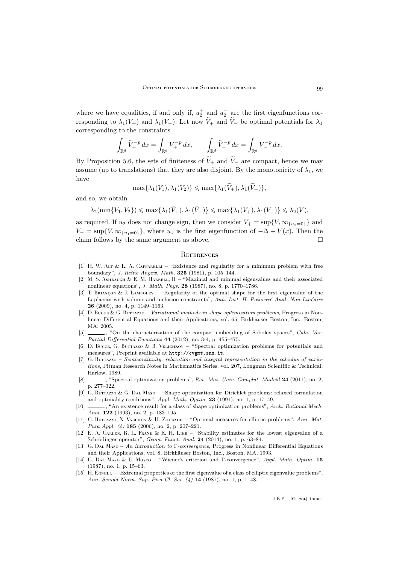<span id="page-29-0"></span>where we have equalities, if and only if,  $u_2^+$  and  $u_2^-$  are the first eigenfunctions corresponding to  $\lambda_1(V_+)$  and  $\lambda_1(V_-)$ . Let now  $\widetilde{V}_+$  and  $\widetilde{V}_-$  be optimal potentials for  $\lambda_1$ corresponding to the constraints

$$
\int_{\mathbb{R}^d} \widetilde{V}_+^{-p} dx = \int_{\mathbb{R}^d} V_+^{-p} dx, \qquad \int_{\mathbb{R}^d} \widetilde{V}_-^{-p} dx = \int_{\mathbb{R}^d} V_-^{-p} dx.
$$

By Proposition [5.6,](#page-24-0) the sets of finiteness of  $\widetilde{V}_+$  and  $\widetilde{V}_-$  are compact, hence we may assume (up to translations) that they are also disjoint. By the monotonicity of  $\lambda_1$ , we have

$$
\max\{\lambda_1(V_1), \lambda_1(V_2)\} \leq \max\{\lambda_1(\widetilde{V}_+), \lambda_1(\widetilde{V}_-) \},\
$$

and so, we obtain

$$
\lambda_2(\min\{V_1, V_2\}) \le \max\{\lambda_1(\widetilde{V}_+), \lambda_1(\widetilde{V}_-)\} \le \max\{\lambda_1(V_+), \lambda_1(V_-)\} \le \lambda_2(V),
$$

as required. If  $u_2$  does not change sign, then we consider  $V_+ = \sup\{V, \infty_{\{u_2=0\}}\}$  and  $V_-=\sup\{V,\infty_{\{u_1=0\}}\}\,$ , where  $u_1$  is the first eigenfunction of  $-\Delta+V(x)$ . Then the claim follows by the same argument as above.  $\square$ 

#### **REFERENCES**

- [1] H. W. ALT & L. A. CAFFARELLI "Existence and regularity for a minimum problem with free boundary", *J. Reine Angew. Math.* **325** (1981), p. 105–144.
- [2] M. S. ASHBAUGH & E. M. HARRELL,  $II$  "Maximal and minimal eigenvalues and their associated nonlinear equations", *J. Math. Phys.* **28** (1987), no. 8, p. 1770–1786.
- [3] T. Briançon & J. Lamboley "Regularity of the optimal shape for the first eigenvalue of the Laplacian with volume and inclusion constraints", *Ann. Inst. H. Poincaré Anal. Non Linéaire* **26** (2009), no. 4, p. 1149–1163.
- [4] D. Bucur & G. Buttazzo *Variational methods in shape optimization problems*, Progress in Nonlinear Differential Equations and their Applications, vol. 65, Birkhäuser Boston, Inc., Boston, MA, 2005.
- [5]  $\qquad$ , "On the characterization of the compact embedding of Sobolev spaces", *Calc. Var. Partial Differential Equations* **44** (2012), no. 3-4, p. 455–475.
- [6] D. Bucur, G. Buttazzo & B. Velichkov "Spectral optimization problems for potentials and measures", Preprint available at <http://cvgmt.sns.it>.
- [7] G. Burrazzo *Semicontinuity, relaxation and integral representation in the calculus of variations*, Pitman Research Notes in Mathematics Series, vol. 207, Longman Scientific & Technical, Harlow, 1989.
- [8] , "Spectral optimization problems", *Rev. Mat. Univ. Complut. Madrid* **24** (2011), no. 2, p. 277–322.
- [9] G. Buttazzo & G. Dal Maso "Shape optimization for Dirichlet problems: relaxed formulation and optimality conditions", *Appl. Math. Optim.* **23** (1991), no. 1, p. 17–49.
- [10] , "An existence result for a class of shape optimization problems", *Arch. Rational Mech. Anal.* **122** (1993), no. 2, p. 183–195.
- [11] G. Buttazzo, N. Varchon & H. Zoubairi "Optimal measures for elliptic problems", *Ann. Mat. Pura Appl. (4)* **185** (2006), no. 2, p. 207–221.
- [12] E. A. Carlen, R. L. Frank & E. H. Lieb "Stability estimates for the lowest eigenvalue of a Schrödinger operator", *Geom. Funct. Anal.* **24** (2014), no. 1, p. 63–84.
- [13] G. Dal Maso *An introduction to* Γ*-convergence*, Progress in Nonlinear Differential Equations and their Applications, vol. 8, Birkhäuser Boston, Inc., Boston, MA, 1993.
- [14] G. Dal Maso & U. Mosco "Wiener's criterion and Γ-convergence", *Appl. Math. Optim.* **15** (1987), no. 1, p. 15–63.
- [15] H. EGNELL "Extremal properties of the first eigenvalue of a class of elliptic eigenvalue problems", *Ann. Scuola Norm. Sup. Pisa Cl. Sci. (4)* **14** (1987), no. 1, p. 1–48.